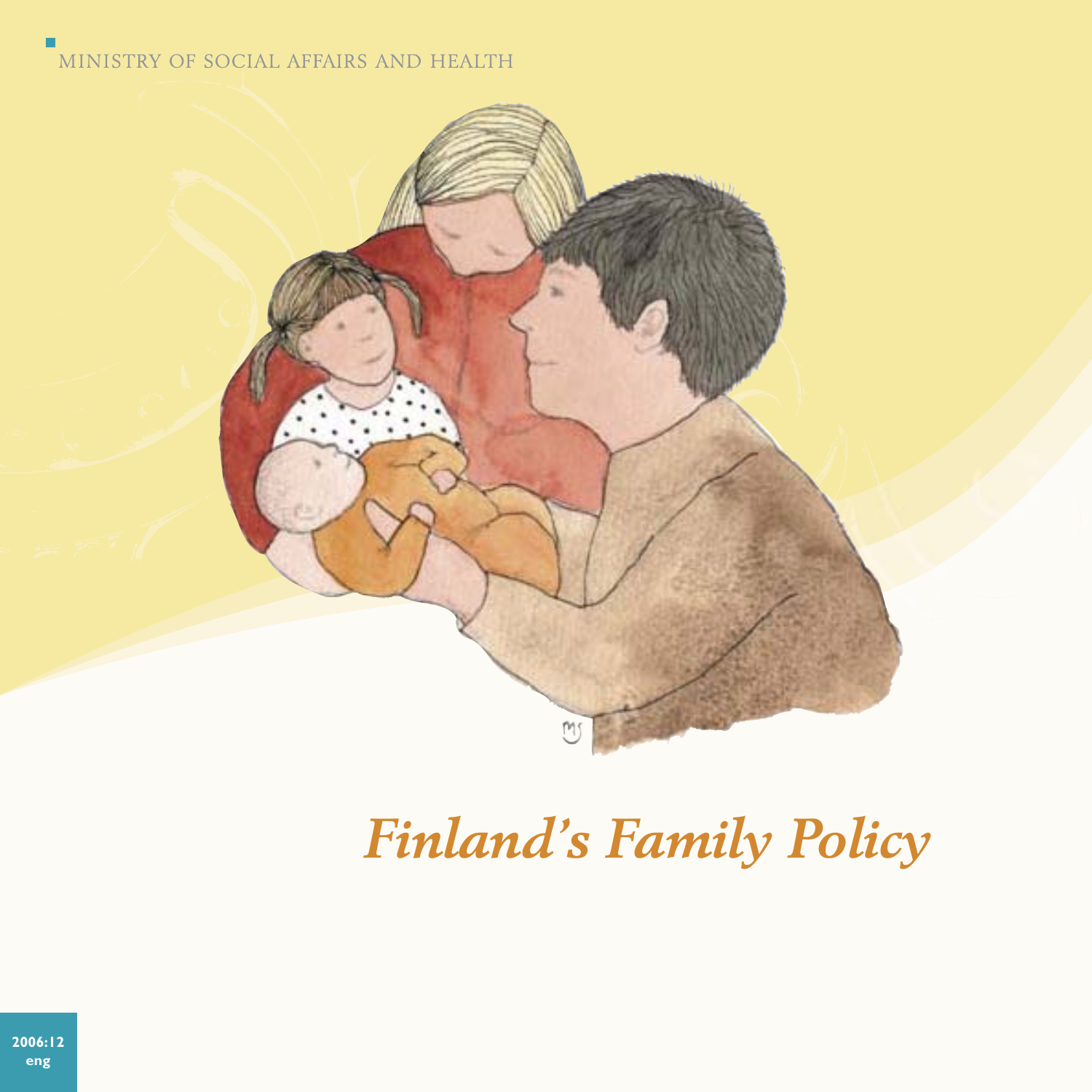## MINISTRY OF SOCIAL AFFAIRS AND HEALTH



# **Finland's Family Policy**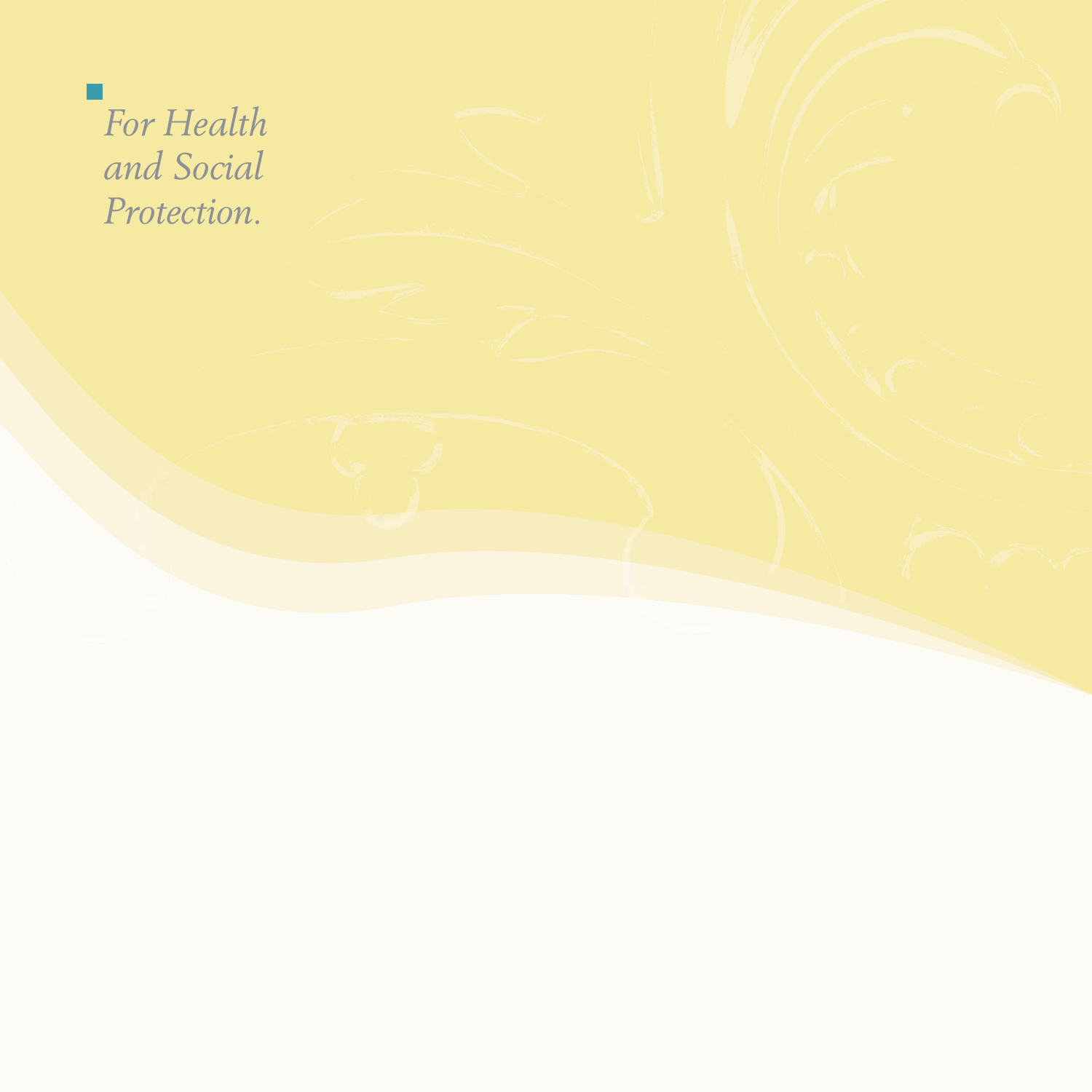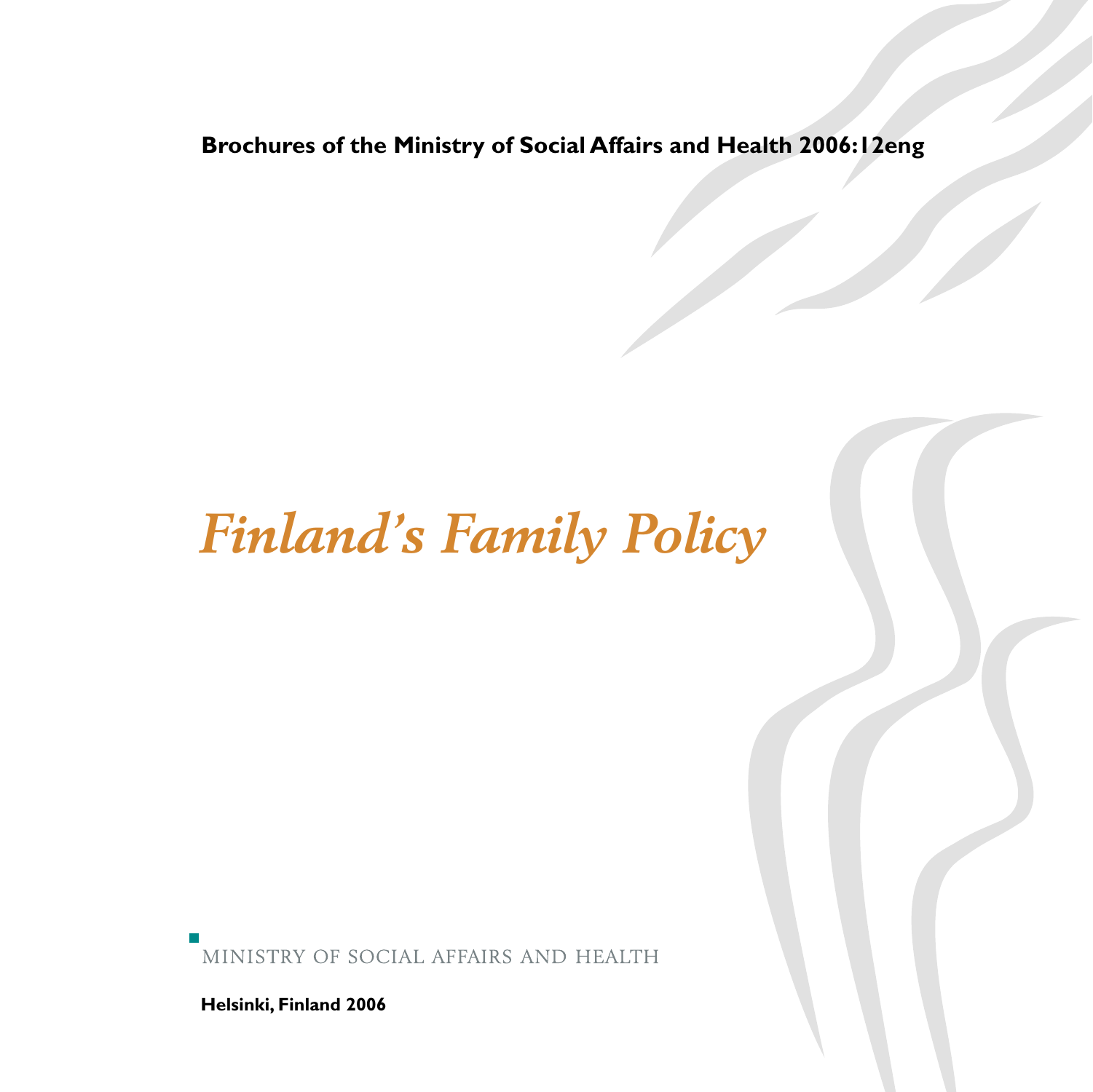**Brochures of the Ministry of Social Affairs and Health 2006:12eng**

# *Finland's Family Policy*

MINISTRY OF SOCIAL AFFAIRS AND HEALTH

**Helsinki, Finland 2006**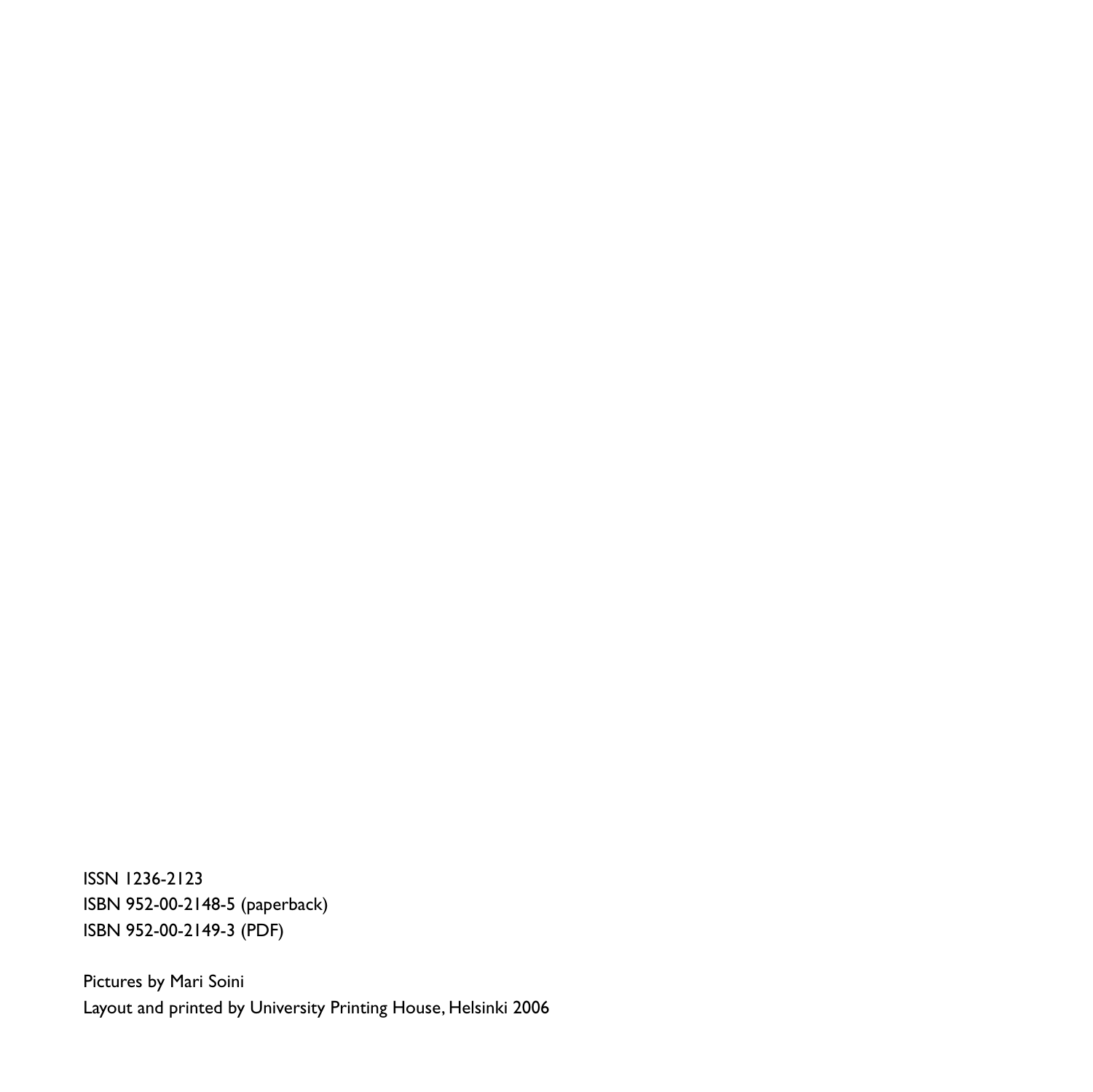ISSN 1236-2123 ISBN 952-00-2148-5 (paperback) ISBN 952-00-2149-3 (PDF)

Pictures by Mari Soini Layout and printed by University Printing House, Helsinki 2006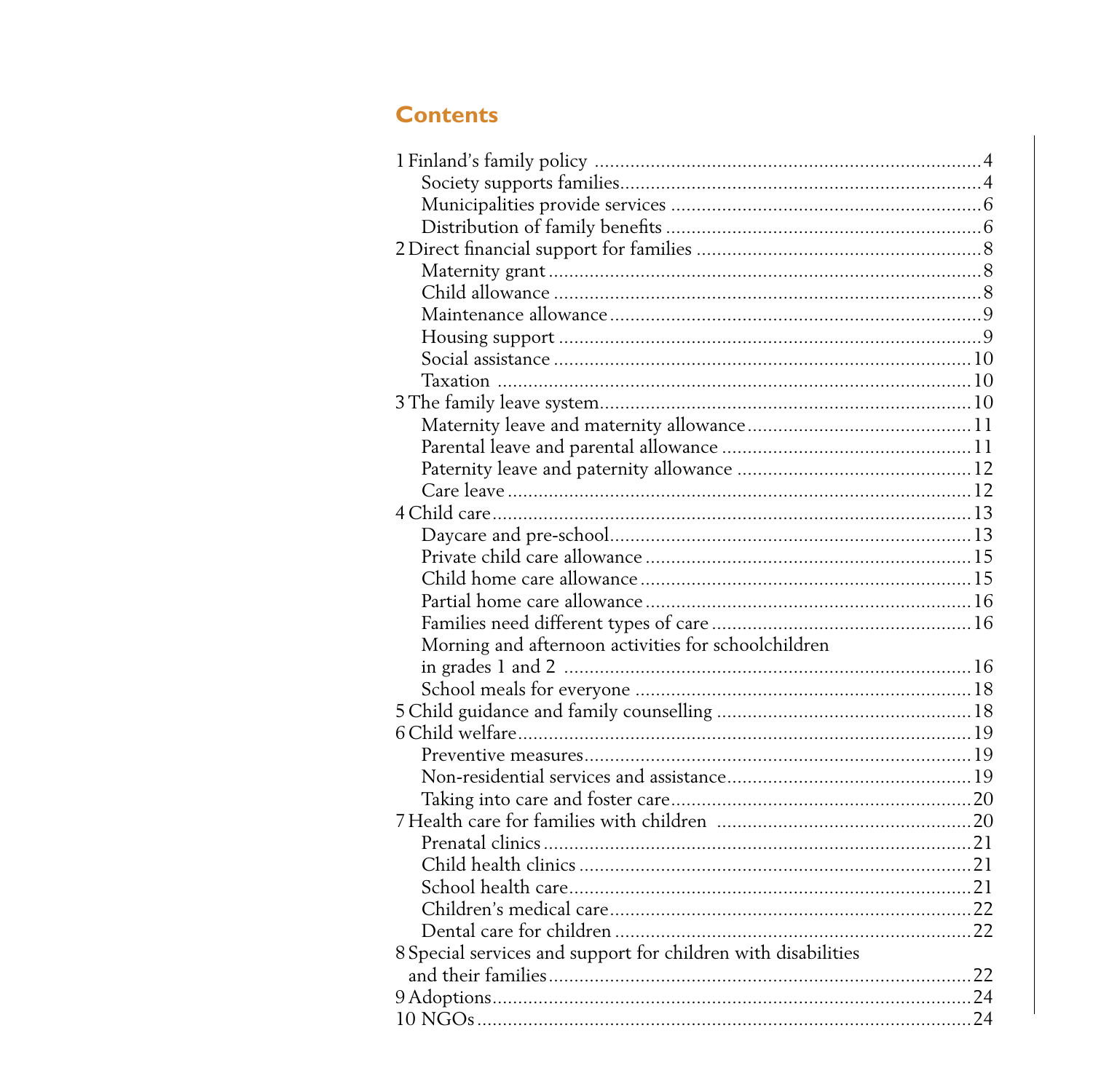## **Contents**

| Morning and afternoon activities for schoolchildren           |  |
|---------------------------------------------------------------|--|
|                                                               |  |
|                                                               |  |
|                                                               |  |
|                                                               |  |
|                                                               |  |
|                                                               |  |
|                                                               |  |
|                                                               |  |
|                                                               |  |
|                                                               |  |
|                                                               |  |
|                                                               |  |
|                                                               |  |
| 8 Special services and support for children with disabilities |  |
|                                                               |  |
|                                                               |  |
|                                                               |  |
|                                                               |  |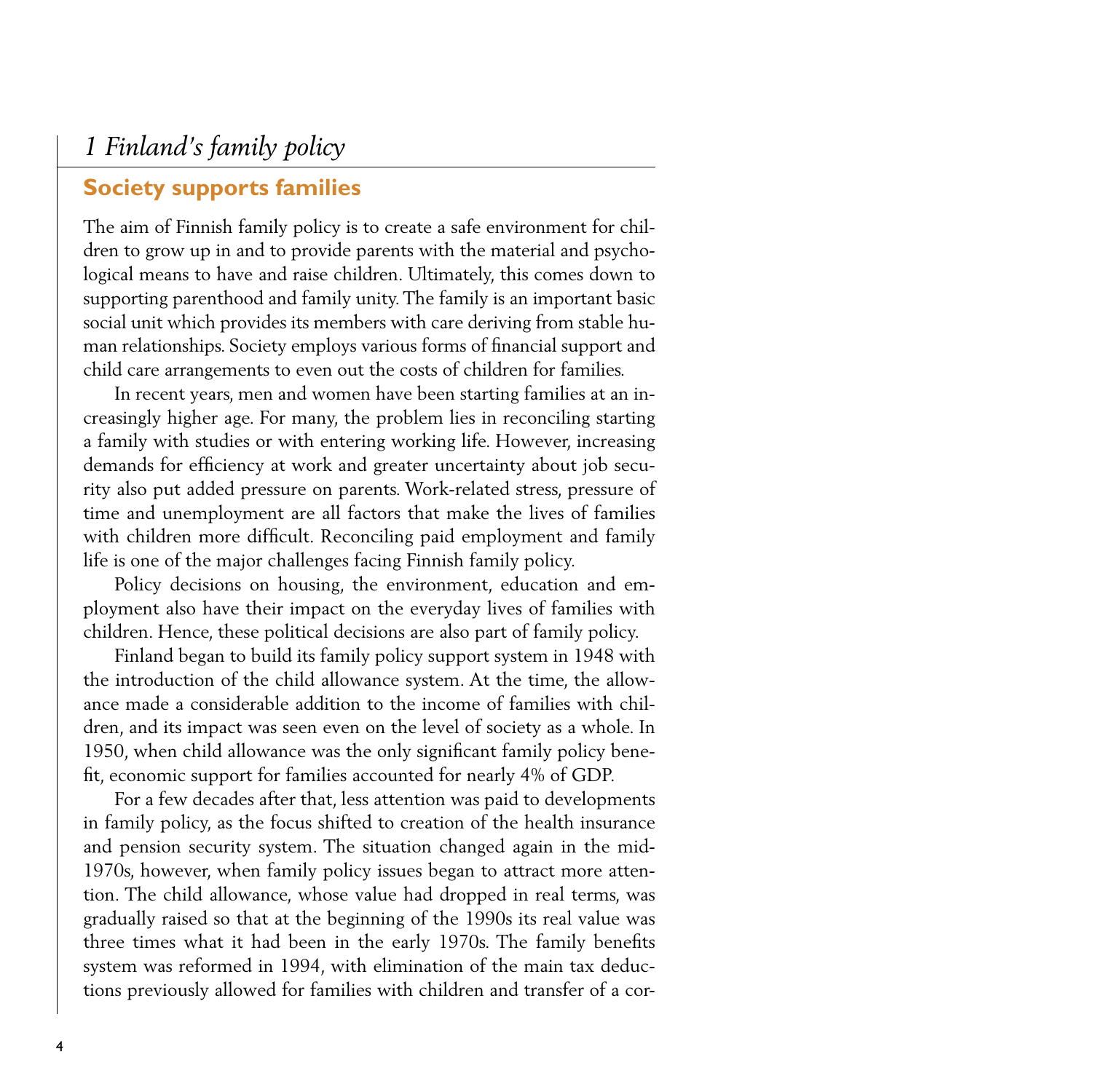## <span id="page-5-0"></span>*1 Finland's family policy*

#### **Society supports families**

The aim of Finnish family policy is to create a safe environment for children to grow up in and to provide parents with the material and psychological means to have and raise children. Ultimately, this comes down to supporting parenthood and family unity. The family is an important basic social unit which provides its members with care deriving from stable human relationships. Society employs various forms of financial support and child care arrangements to even out the costs of children for families.

In recent years, men and women have been starting families at an increasingly higher age. For many, the problem lies in reconciling starting a family with studies or with entering working life. However, increasing demands for efficiency at work and greater uncertainty about job security also put added pressure on parents. Work-related stress, pressure of time and unemployment are all factors that make the lives of families with children more difficult. Reconciling paid employment and family life is one of the major challenges facing Finnish family policy.

Policy decisions on housing, the environment, education and employment also have their impact on the everyday lives of families with children. Hence, these political decisions are also part of family policy.

Finland began to build its family policy support system in 1948 with the introduction of the child allowance system. At the time, the allowance made a considerable addition to the income of families with children, and its impact was seen even on the level of society as a whole. In 1950, when child allowance was the only significant family policy benefit, economic support for families accounted for nearly 4% of GDP.

For a few decades after that, less attention was paid to developments in family policy, as the focus shifted to creation of the health insurance and pension security system. The situation changed again in the mid-1970s, however, when family policy issues began to attract more attention. The child allowance, whose value had dropped in real terms, was gradually raised so that at the beginning of the 1990s its real value was three times what it had been in the early 1970s. The family benefits system was reformed in 1994, with elimination of the main tax deductions previously allowed for families with children and transfer of a cor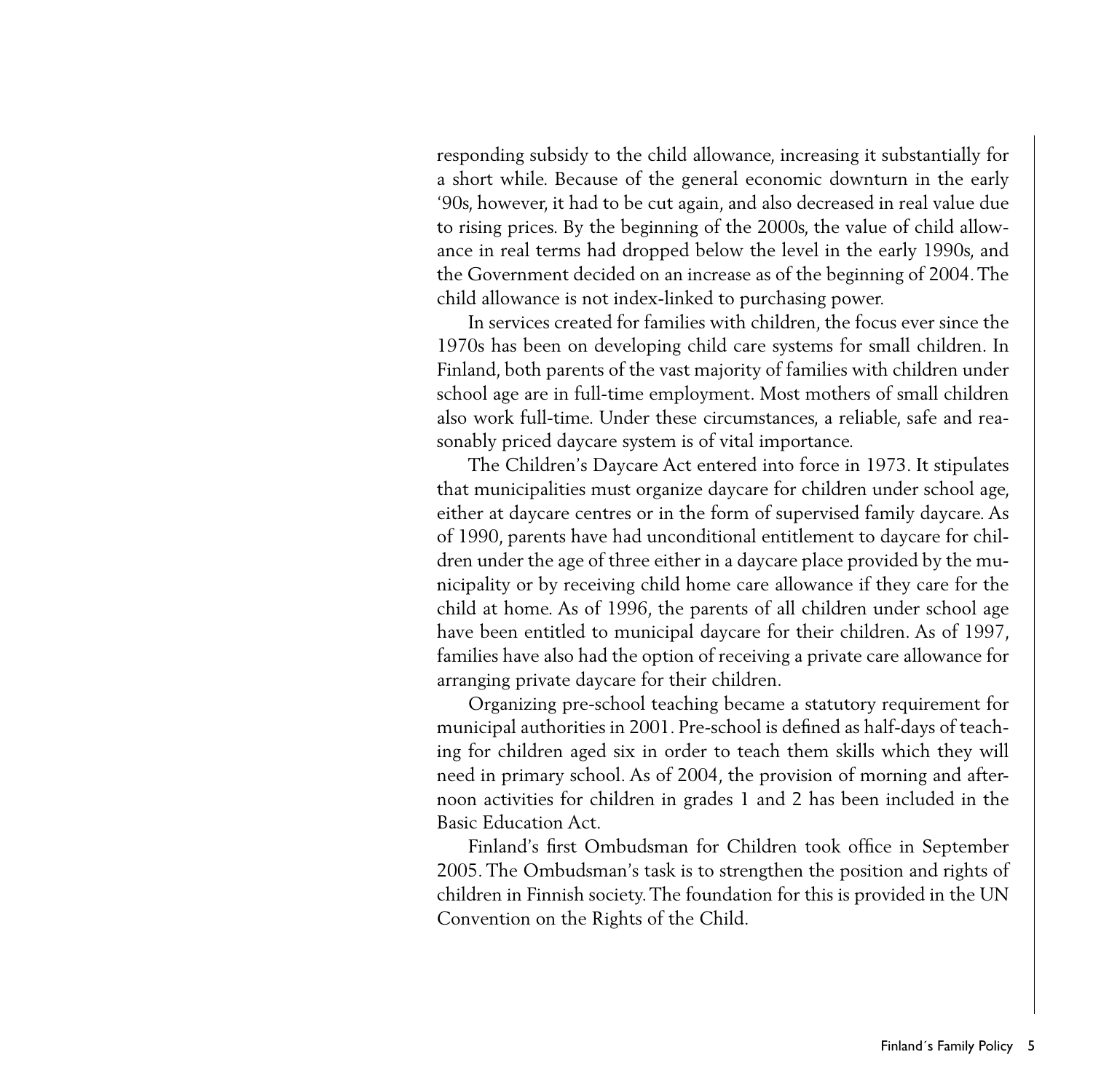responding subsidy to the child allowance, increasing it substantially for a short while. Because of the general economic downturn in the early '90s, however, it had to be cut again, and also decreased in real value due to rising prices. By the beginning of the 2000s, the value of child allowance in real terms had dropped below the level in the early 1990s, and the Government decided on an increase as of the beginning of 2004. The child allowance is not index-linked to purchasing power.

In services created for families with children, the focus ever since the 1970s has been on developing child care systems for small children. In Finland, both parents of the vast majority of families with children under school age are in full-time employment. Most mothers of small children also work full-time. Under these circumstances, a reliable, safe and reasonably priced daycare system is of vital importance.

The Children's Daycare Act entered into force in 1973. It stipulates that municipalities must organize daycare for children under school age, either at daycare centres or in the form of supervised family daycare. As of 1990, parents have had unconditional entitlement to daycare for children under the age of three either in a daycare place provided by the municipality or by receiving child home care allowance if they care for the child at home. As of 1996, the parents of all children under school age have been entitled to municipal daycare for their children. As of 1997, families have also had the option of receiving a private care allowance for arranging private daycare for their children.

Organizing pre-school teaching became a statutory requirement for municipal authorities in 2001. Pre-school is defined as half-days of teaching for children aged six in order to teach them skills which they will need in primary school. As of 2004, the provision of morning and afternoon activities for children in grades 1 and 2 has been included in the Basic Education Act.

Finland's first Ombudsman for Children took office in September 2005. The Ombudsman's task is to strengthen the position and rights of children in Finnish society. The foundation for this is provided in the UN Convention on the Rights of the Child.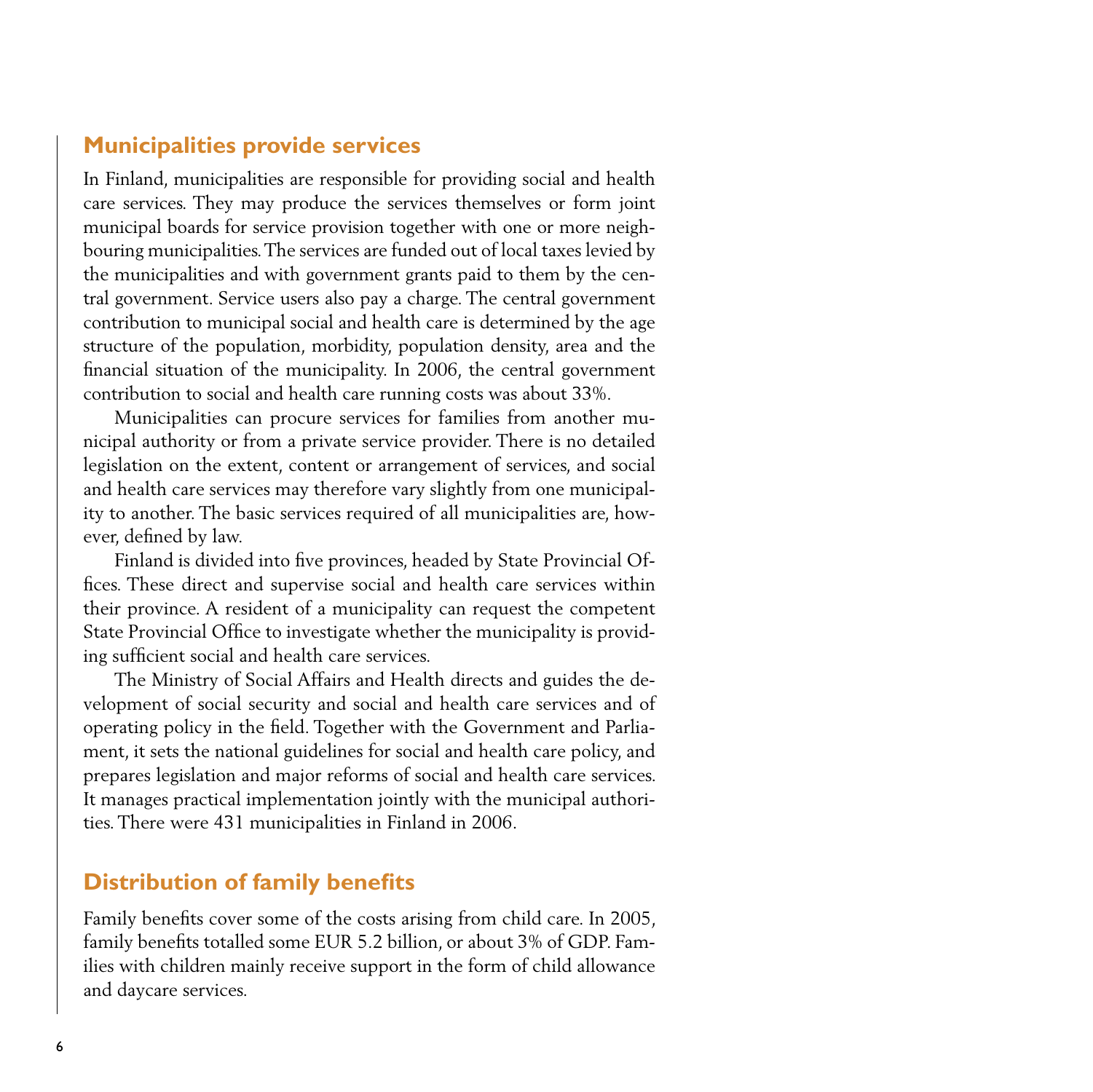#### <span id="page-7-0"></span>**Municipalities provide services**

In Finland, municipalities are responsible for providing social and health care services. They may produce the services themselves or form joint municipal boards for service provision together with one or more neighbouring municipalities. The services are funded out of local taxes levied by the municipalities and with government grants paid to them by the central government. Service users also pay a charge. The central government contribution to municipal social and health care is determined by the age structure of the population, morbidity, population density, area and the financial situation of the municipality. In 2006, the central government contribution to social and health care running costs was about 33%.

Municipalities can procure services for families from another municipal authority or from a private service provider. There is no detailed legislation on the extent, content or arrangement of services, and social and health care services may therefore vary slightly from one municipality to another. The basic services required of all municipalities are, however, defined by law.

Finland is divided into five provinces, headed by State Provincial Offices. These direct and supervise social and health care services within their province. A resident of a municipality can request the competent State Provincial Office to investigate whether the municipality is providing sufficient social and health care services.

The Ministry of Social Affairs and Health directs and guides the development of social security and social and health care services and of operating policy in the field. Together with the Government and Parliament, it sets the national guidelines for social and health care policy, and prepares legislation and major reforms of social and health care services. It manages practical implementation jointly with the municipal authorities. There were 431 municipalities in Finland in 2006.

#### **Distribution of family benefits**

Family benefits cover some of the costs arising from child care. In 2005, family benefits totalled some EUR 5.2 billion, or about 3% of GDP. Families with children mainly receive support in the form of child allowance and daycare services.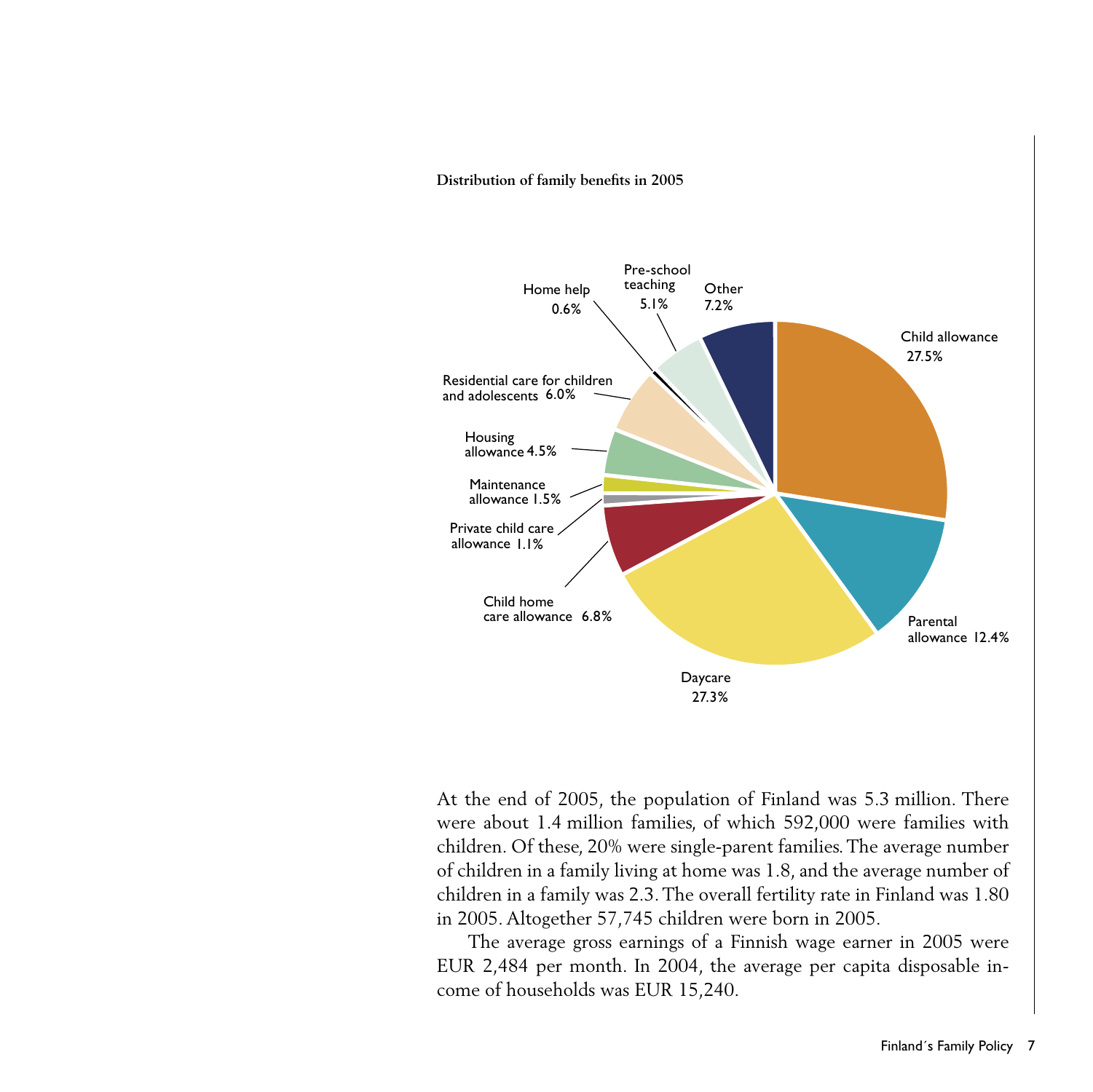#### **Distribution of family benefits in 2005**



At the end of 2005, the population of Finland was 5.3 million. There were about 1.4 million families, of which 592,000 were families with children. Of these, 20% were single-parent families. The average number of children in a family living at home was 1.8, and the average number of children in a family was 2.3. The overall fertility rate in Finland was 1.80 in 2005. Altogether 57,745 children were born in 2005.

The average gross earnings of a Finnish wage earner in 2005 were EUR 2,484 per month. In 2004, the average per capita disposable income of households was EUR 15,240.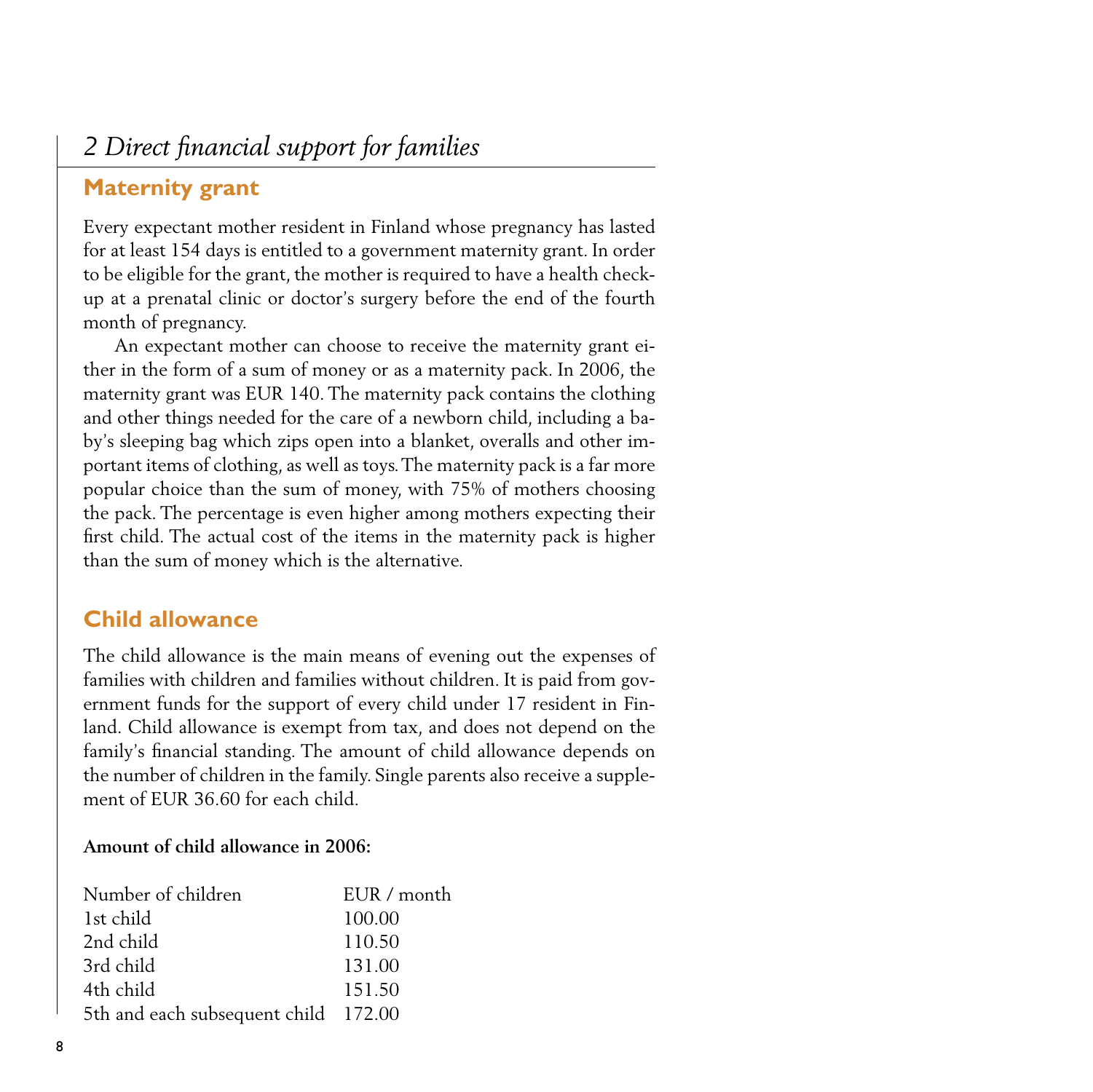## <span id="page-9-0"></span>*2 Direct financial support for families*

### **Maternity grant**

Every expectant mother resident in Finland whose pregnancy has lasted for at least 154 days is entitled to a government maternity grant. In order to be eligible for the grant, the mother is required to have a health checkup at a prenatal clinic or doctor's surgery before the end of the fourth month of pregnancy.

An expectant mother can choose to receive the maternity grant either in the form of a sum of money or as a maternity pack. In 2006, the maternity grant was EUR 140. The maternity pack contains the clothing and other things needed for the care of a newborn child, including a baby's sleeping bag which zips open into a blanket, overalls and other important items of clothing, as well as toys. The maternity pack is a far more popular choice than the sum of money, with 75% of mothers choosing the pack. The percentage is even higher among mothers expecting their first child. The actual cost of the items in the maternity pack is higher than the sum of money which is the alternative.

#### **Child allowance**

The child allowance is the main means of evening out the expenses of families with children and families without children. It is paid from government funds for the support of every child under 17 resident in Finland. Child allowance is exempt from tax, and does not depend on the family's financial standing. The amount of child allowance depends on the number of children in the family. Single parents also receive a supplement of EUR 36.60 for each child.

#### **Amount of child allowance in 2006:**

| Number of children                   | EUR / month |
|--------------------------------------|-------------|
| 1st child                            | 100.00      |
| 2nd child                            | 110.50      |
| 3rd child                            | 131.00      |
| 4th child                            | 151.50      |
| 5th and each subsequent child 172.00 |             |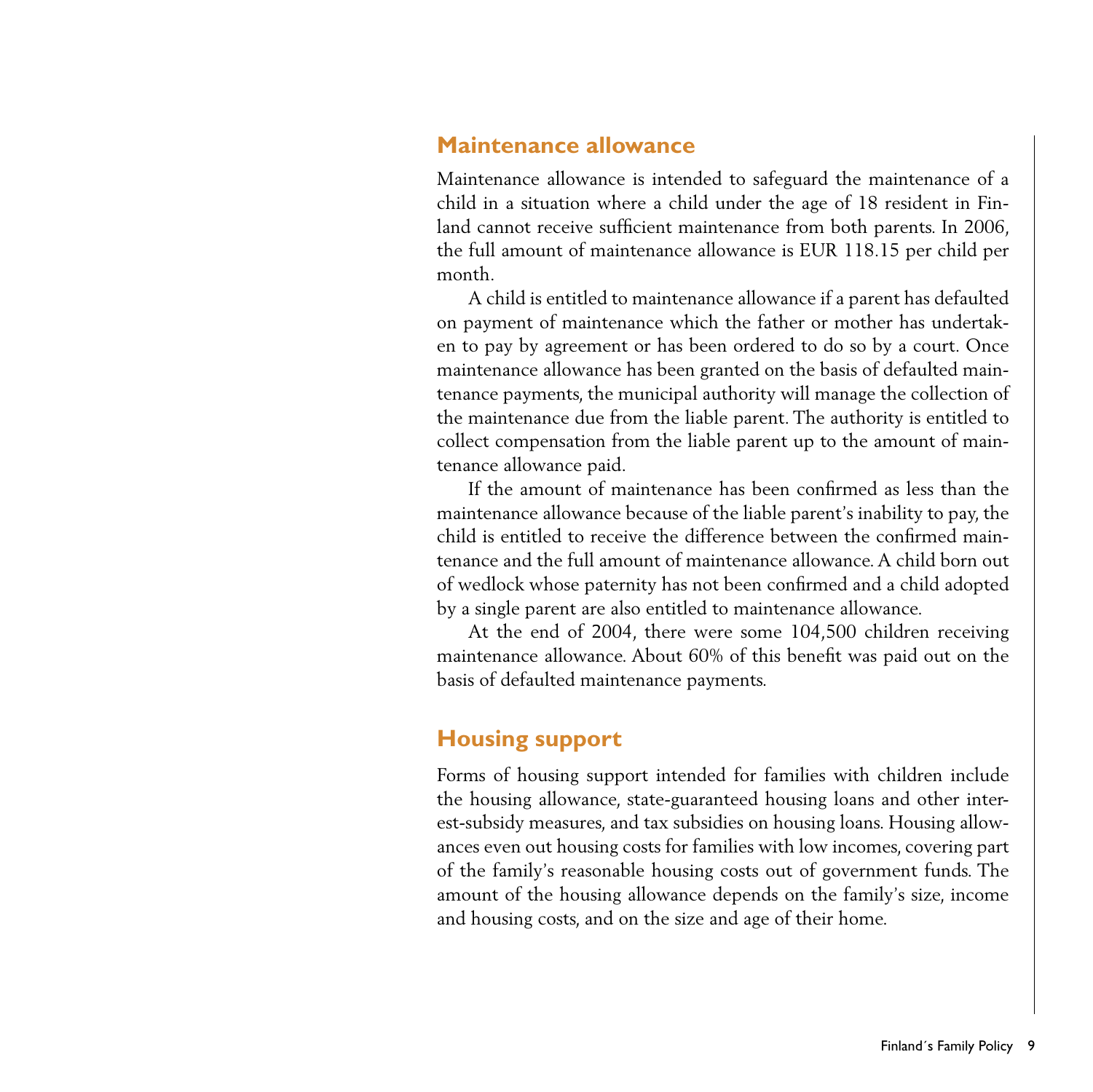#### <span id="page-10-0"></span>**Maintenance allowance**

Maintenance allowance is intended to safeguard the maintenance of a child in a situation where a child under the age of 18 resident in Finland cannot receive sufficient maintenance from both parents. In 2006, the full amount of maintenance allowance is EUR 118.15 per child per month.

A child is entitled to maintenance allowance if a parent has defaulted on payment of maintenance which the father or mother has undertaken to pay by agreement or has been ordered to do so by a court. Once maintenance allowance has been granted on the basis of defaulted maintenance payments, the municipal authority will manage the collection of the maintenance due from the liable parent. The authority is entitled to collect compensation from the liable parent up to the amount of maintenance allowance paid.

If the amount of maintenance has been confirmed as less than the maintenance allowance because of the liable parent's inability to pay, the child is entitled to receive the difference between the confirmed maintenance and the full amount of maintenance allowance. A child born out of wedlock whose paternity has not been confirmed and a child adopted by a single parent are also entitled to maintenance allowance.

At the end of 2004, there were some 104,500 children receiving maintenance allowance. About 60% of this benefit was paid out on the basis of defaulted maintenance payments.

#### **Housing support**

Forms of housing support intended for families with children include the housing allowance, state-guaranteed housing loans and other interest-subsidy measures, and tax subsidies on housing loans. Housing allowances even out housing costs for families with low incomes, covering part of the family's reasonable housing costs out of government funds. The amount of the housing allowance depends on the family's size, income and housing costs, and on the size and age of their home.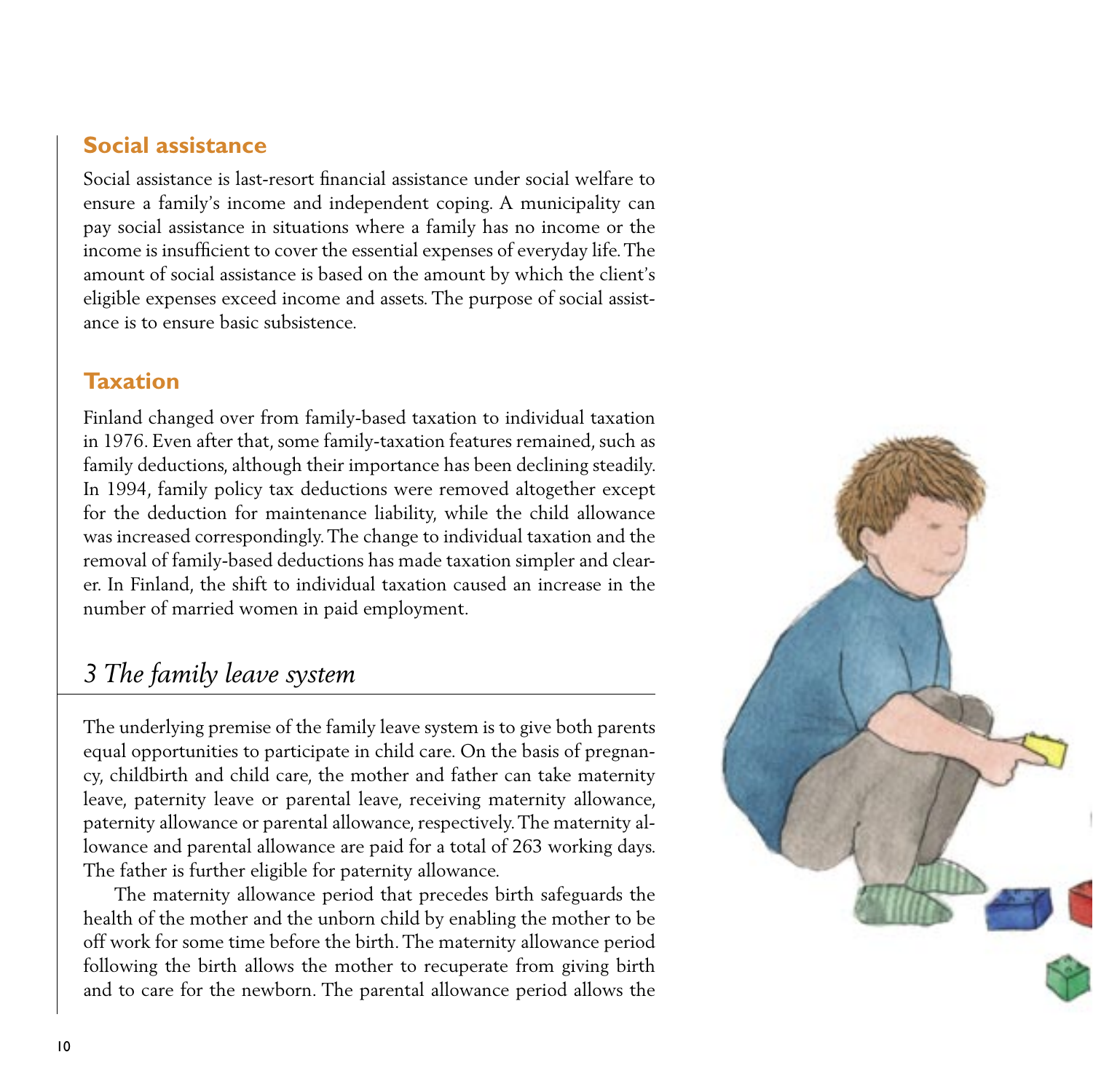#### <span id="page-11-0"></span>**Social assistance**

Social assistance is last-resort financial assistance under social welfare to ensure a family's income and independent coping. A municipality can pay social assistance in situations where a family has no income or the income is insufficient to cover the essential expenses of everyday life. The amount of social assistance is based on the amount by which the client's eligible expenses exceed income and assets. The purpose of social assistance is to ensure basic subsistence.

#### **Taxation**

Finland changed over from family-based taxation to individual taxation in 1976. Even after that, some family-taxation features remained, such as family deductions, although their importance has been declining steadily. In 1994, family policy tax deductions were removed altogether except for the deduction for maintenance liability, while the child allowance was increased correspondingly. The change to individual taxation and the removal of family-based deductions has made taxation simpler and clearer. In Finland, the shift to individual taxation caused an increase in the number of married women in paid employment.

## *3 The family leave system*

The underlying premise of the family leave system is to give both parents equal opportunities to participate in child care. On the basis of pregnancy, childbirth and child care, the mother and father can take maternity leave, paternity leave or parental leave, receiving maternity allowance, paternity allowance or parental allowance, respectively. The maternity allowance and parental allowance are paid for a total of 263 working days. The father is further eligible for paternity allowance.

The maternity allowance period that precedes birth safeguards the health of the mother and the unborn child by enabling the mother to be off work for some time before the birth. The maternity allowance period following the birth allows the mother to recuperate from giving birth and to care for the newborn. The parental allowance period allows the

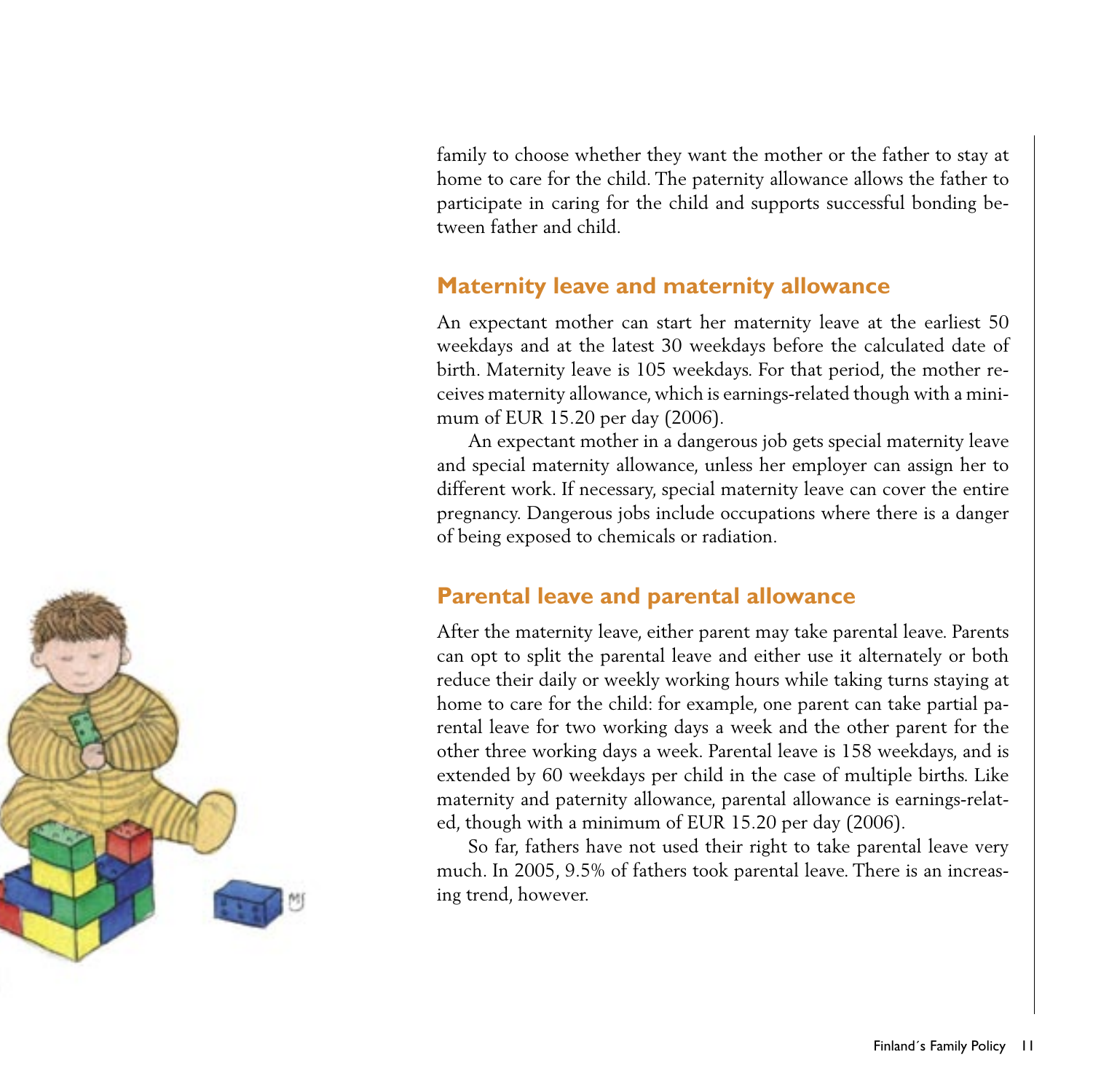<span id="page-12-0"></span>family to choose whether they want the mother or the father to stay at home to care for the child. The paternity allowance allows the father to participate in caring for the child and supports successful bonding between father and child.

#### **Maternity leave and maternity allowance**

An expectant mother can start her maternity leave at the earliest 50 weekdays and at the latest 30 weekdays before the calculated date of birth. Maternity leave is 105 weekdays. For that period, the mother receives maternity allowance, which is earnings-related though with a minimum of EUR 15.20 per day (2006).

An expectant mother in a dangerous job gets special maternity leave and special maternity allowance, unless her employer can assign her to different work. If necessary, special maternity leave can cover the entire pregnancy. Dangerous jobs include occupations where there is a danger of being exposed to chemicals or radiation.

#### **Parental leave and parental allowance**

After the maternity leave, either parent may take parental leave. Parents can opt to split the parental leave and either use it alternately or both reduce their daily or weekly working hours while taking turns staying at home to care for the child: for example, one parent can take partial parental leave for two working days a week and the other parent for the other three working days a week. Parental leave is 158 weekdays, and is extended by 60 weekdays per child in the case of multiple births. Like maternity and paternity allowance, parental allowance is earnings-related, though with a minimum of EUR 15.20 per day (2006).

So far, fathers have not used their right to take parental leave very much. In 2005, 9.5% of fathers took parental leave. There is an increasing trend, however.

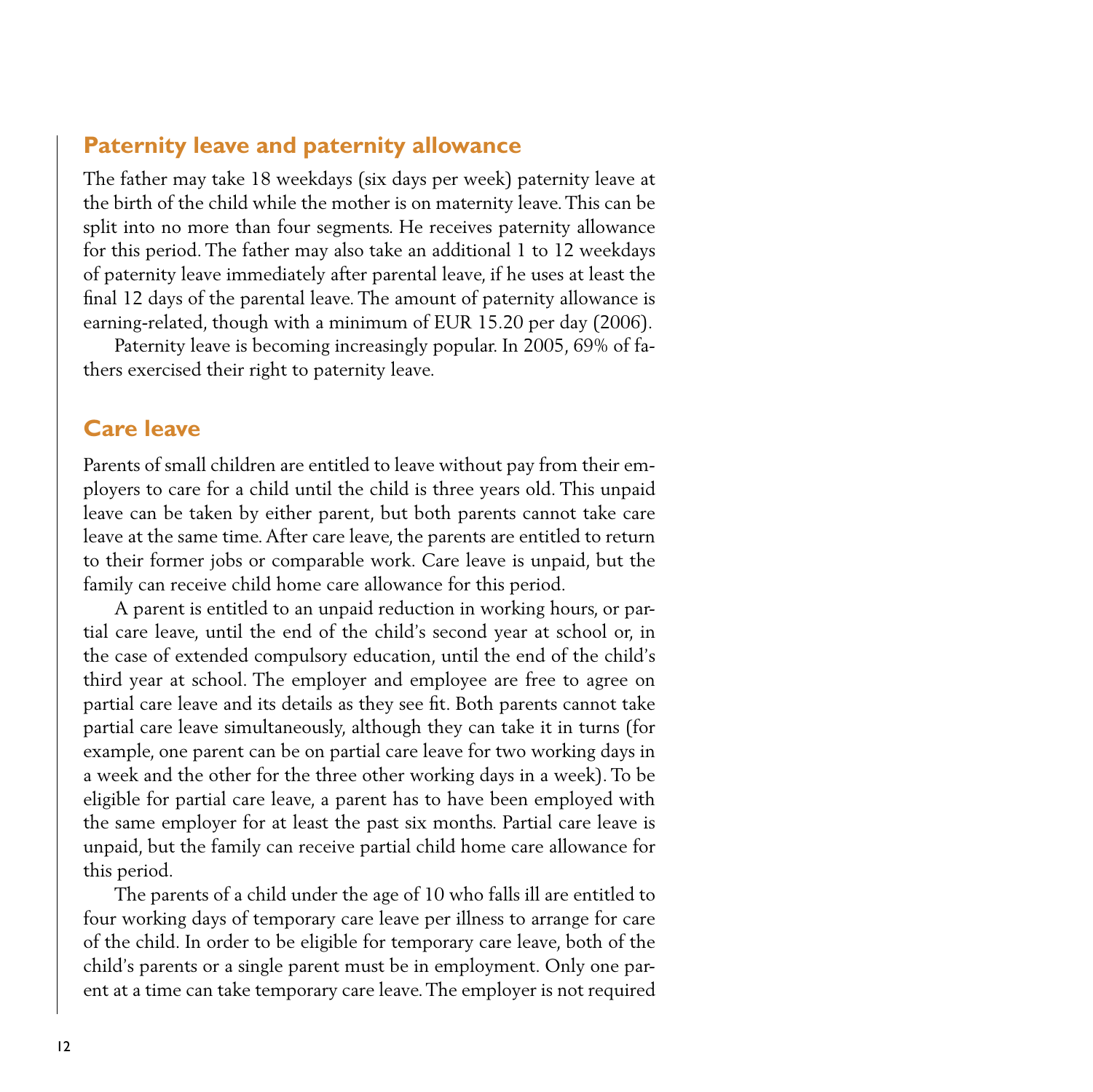#### <span id="page-13-0"></span>**Paternity leave and paternity allowance**

The father may take 18 weekdays (six days per week) paternity leave at the birth of the child while the mother is on maternity leave. This can be split into no more than four segments. He receives paternity allowance for this period. The father may also take an additional 1 to 12 weekdays of paternity leave immediately after parental leave, if he uses at least the final 12 days of the parental leave. The amount of paternity allowance is earning-related, though with a minimum of EUR 15.20 per day (2006).

Paternity leave is becoming increasingly popular. In 2005, 69% of fathers exercised their right to paternity leave.

#### **Care leave**

Parents of small children are entitled to leave without pay from their employers to care for a child until the child is three years old. This unpaid leave can be taken by either parent, but both parents cannot take care leave at the same time. After care leave, the parents are entitled to return to their former jobs or comparable work. Care leave is unpaid, but the family can receive child home care allowance for this period.

A parent is entitled to an unpaid reduction in working hours, or partial care leave, until the end of the child's second year at school or, in the case of extended compulsory education, until the end of the child's third year at school. The employer and employee are free to agree on partial care leave and its details as they see fit. Both parents cannot take partial care leave simultaneously, although they can take it in turns (for example, one parent can be on partial care leave for two working days in a week and the other for the three other working days in a week). To be eligible for partial care leave, a parent has to have been employed with the same employer for at least the past six months. Partial care leave is unpaid, but the family can receive partial child home care allowance for this period.

The parents of a child under the age of 10 who falls ill are entitled to four working days of temporary care leave per illness to arrange for care of the child. In order to be eligible for temporary care leave, both of the child's parents or a single parent must be in employment. Only one parent at a time can take temporary care leave. The employer is not required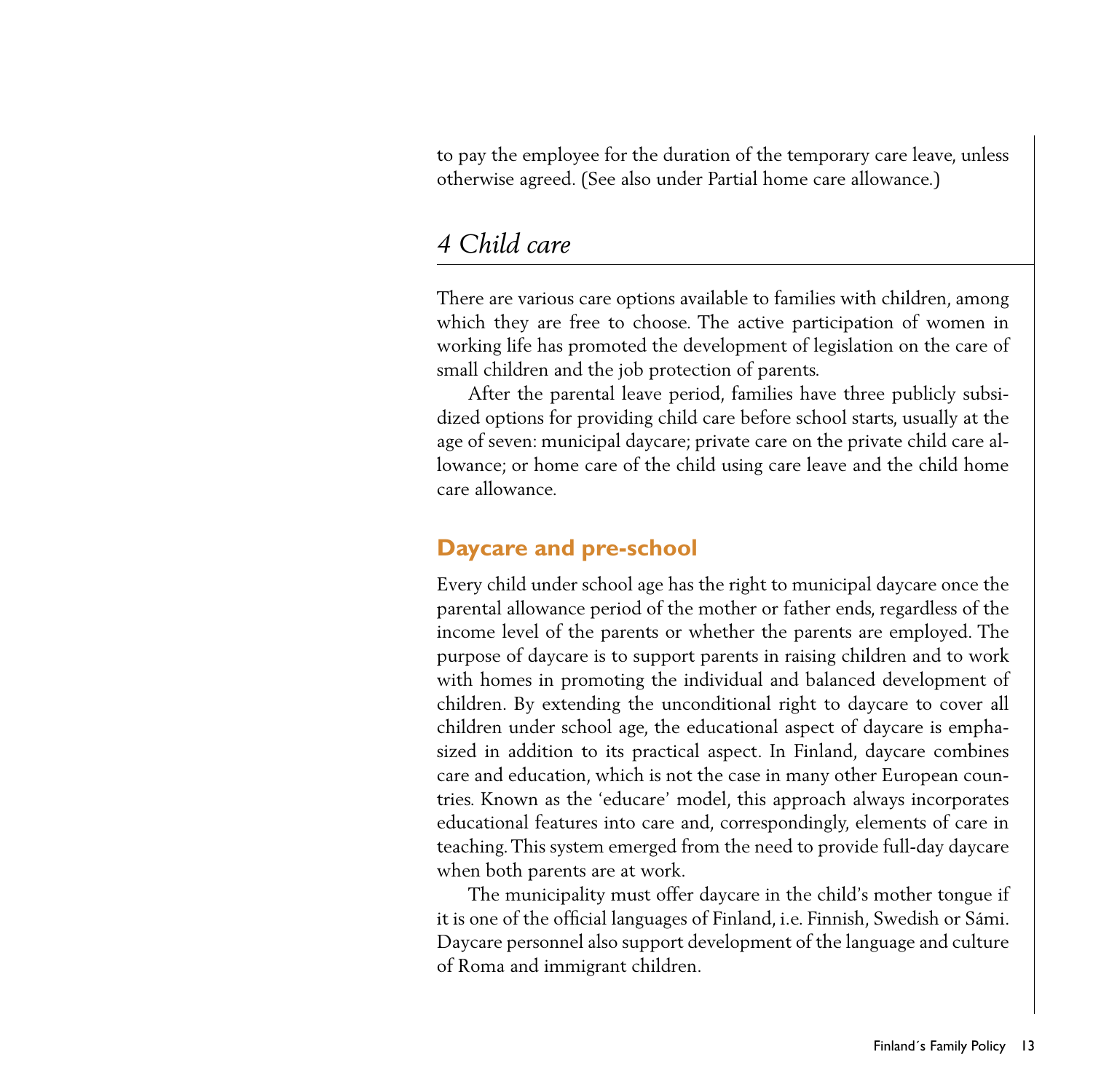<span id="page-14-0"></span>to pay the employee for the duration of the temporary care leave, unless otherwise agreed. (See also under Partial home care allowance.)

## *4 Child care*

There are various care options available to families with children, among which they are free to choose. The active participation of women in working life has promoted the development of legislation on the care of small children and the job protection of parents.

After the parental leave period, families have three publicly subsidized options for providing child care before school starts, usually at the age of seven: municipal daycare; private care on the private child care allowance; or home care of the child using care leave and the child home care allowance.

#### **Daycare and pre-school**

Every child under school age has the right to municipal daycare once the parental allowance period of the mother or father ends, regardless of the income level of the parents or whether the parents are employed. The purpose of daycare is to support parents in raising children and to work with homes in promoting the individual and balanced development of children. By extending the unconditional right to daycare to cover all children under school age, the educational aspect of daycare is emphasized in addition to its practical aspect. In Finland, daycare combines care and education, which is not the case in many other European countries. Known as the 'educare' model, this approach always incorporates educational features into care and, correspondingly, elements of care in teaching. This system emerged from the need to provide full-day daycare when both parents are at work.

The municipality must offer daycare in the child's mother tongue if it is one of the official languages of Finland, i.e. Finnish, Swedish or Sámi. Daycare personnel also support development of the language and culture of Roma and immigrant children.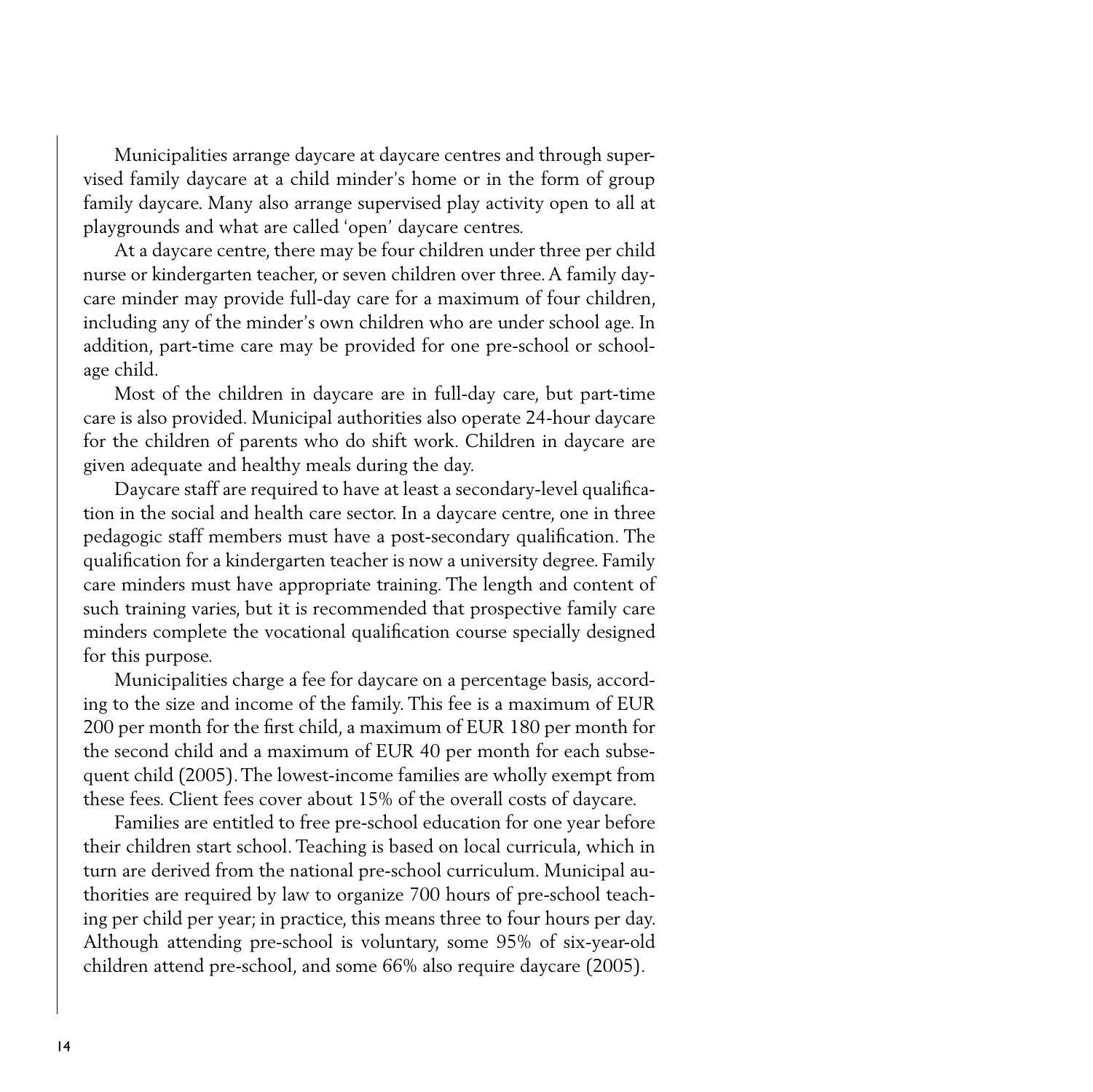Municipalities arrange daycare at daycare centres and through supervised family daycare at a child minder's home or in the form of group family daycare. Many also arrange supervised play activity open to all at playgrounds and what are called 'open' daycare centres.

At a daycare centre, there may be four children under three per child nurse or kindergarten teacher, or seven children over three. A family daycare minder may provide full-day care for a maximum of four children, including any of the minder's own children who are under school age. In addition, part-time care may be provided for one pre-school or schoolage child.

Most of the children in daycare are in full-day care, but part-time care is also provided. Municipal authorities also operate 24-hour daycare for the children of parents who do shift work. Children in daycare are given adequate and healthy meals during the day.

Daycare staff are required to have at least a secondary-level qualification in the social and health care sector. In a daycare centre, one in three pedagogic staff members must have a post-secondary qualification. The qualification for a kindergarten teacher is now a university degree. Family care minders must have appropriate training. The length and content of such training varies, but it is recommended that prospective family care minders complete the vocational qualification course specially designed for this purpose.

Municipalities charge a fee for daycare on a percentage basis, according to the size and income of the family. This fee is a maximum of EUR 200 per month for the first child, a maximum of EUR 180 per month for the second child and a maximum of EUR 40 per month for each subsequent child (2005). The lowest-income families are wholly exempt from these fees. Client fees cover about 15% of the overall costs of daycare.

Families are entitled to free pre-school education for one year before their children start school. Teaching is based on local curricula, which in turn are derived from the national pre-school curriculum. Municipal authorities are required by law to organize 700 hours of pre-school teaching per child per year; in practice, this means three to four hours per day. Although attending pre-school is voluntary, some 95% of six-year-old children attend pre-school, and some 66% also require daycare (2005).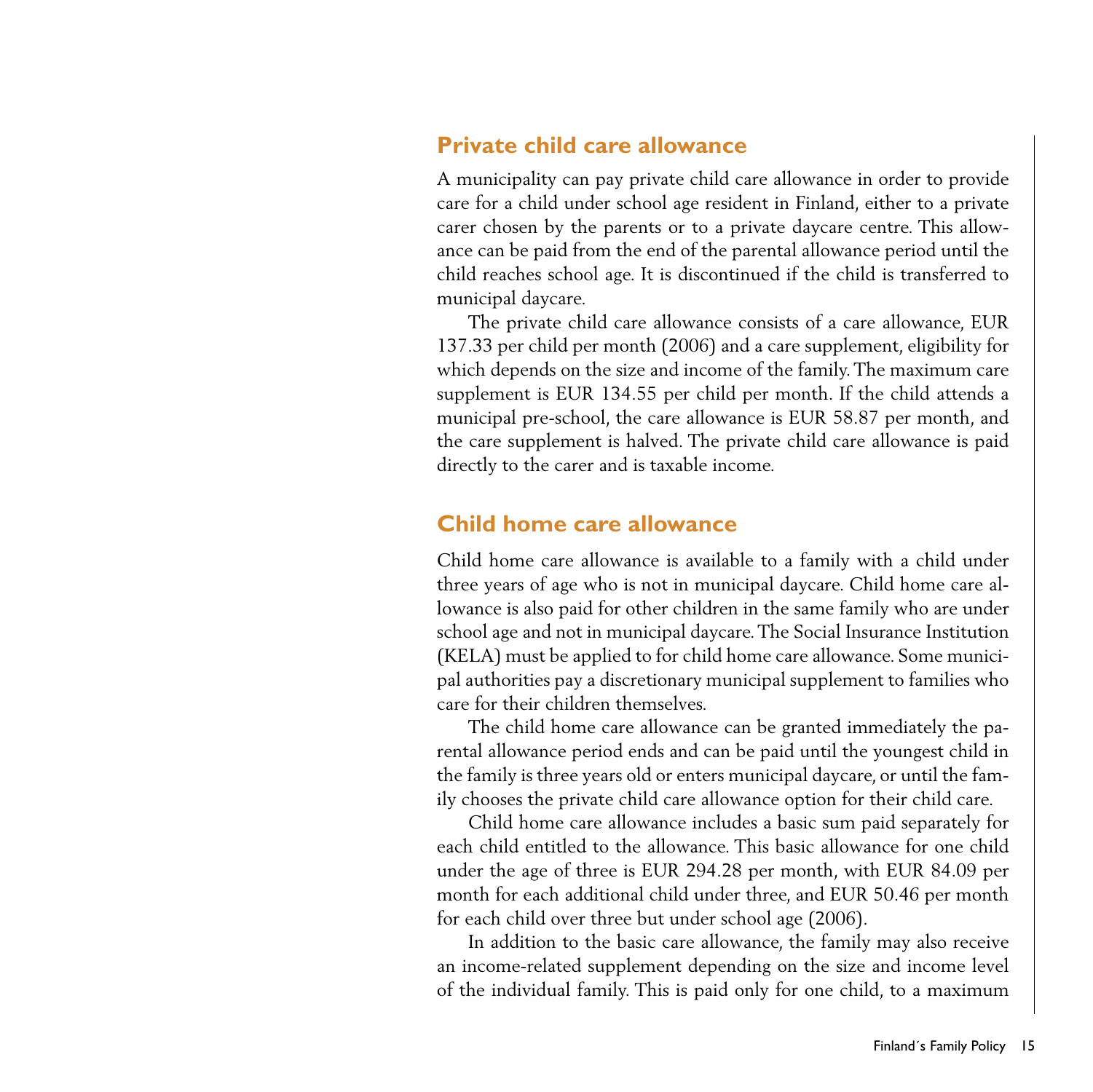#### <span id="page-16-0"></span>**Private child care allowance**

A municipality can pay private child care allowance in order to provide care for a child under school age resident in Finland, either to a private carer chosen by the parents or to a private daycare centre. This allowance can be paid from the end of the parental allowance period until the child reaches school age. It is discontinued if the child is transferred to municipal daycare.

The private child care allowance consists of a care allowance, EUR 137.33 per child per month (2006) and a care supplement, eligibility for which depends on the size and income of the family. The maximum care supplement is EUR 134.55 per child per month. If the child attends a municipal pre-school, the care allowance is EUR 58.87 per month, and the care supplement is halved. The private child care allowance is paid directly to the carer and is taxable income.

#### **Child home care allowance**

Child home care allowance is available to a family with a child under three years of age who is not in municipal daycare. Child home care allowance is also paid for other children in the same family who are under school age and not in municipal daycare. The Social Insurance Institution (KELA) must be applied to for child home care allowance. Some municipal authorities pay a discretionary municipal supplement to families who care for their children themselves.

The child home care allowance can be granted immediately the parental allowance period ends and can be paid until the youngest child in the family is three years old or enters municipal daycare, or until the family chooses the private child care allowance option for their child care.

Child home care allowance includes a basic sum paid separately for each child entitled to the allowance. This basic allowance for one child under the age of three is EUR 294.28 per month, with EUR 84.09 per month for each additional child under three, and EUR 50.46 per month for each child over three but under school age (2006).

In addition to the basic care allowance, the family may also receive an income-related supplement depending on the size and income level of the individual family. This is paid only for one child, to a maximum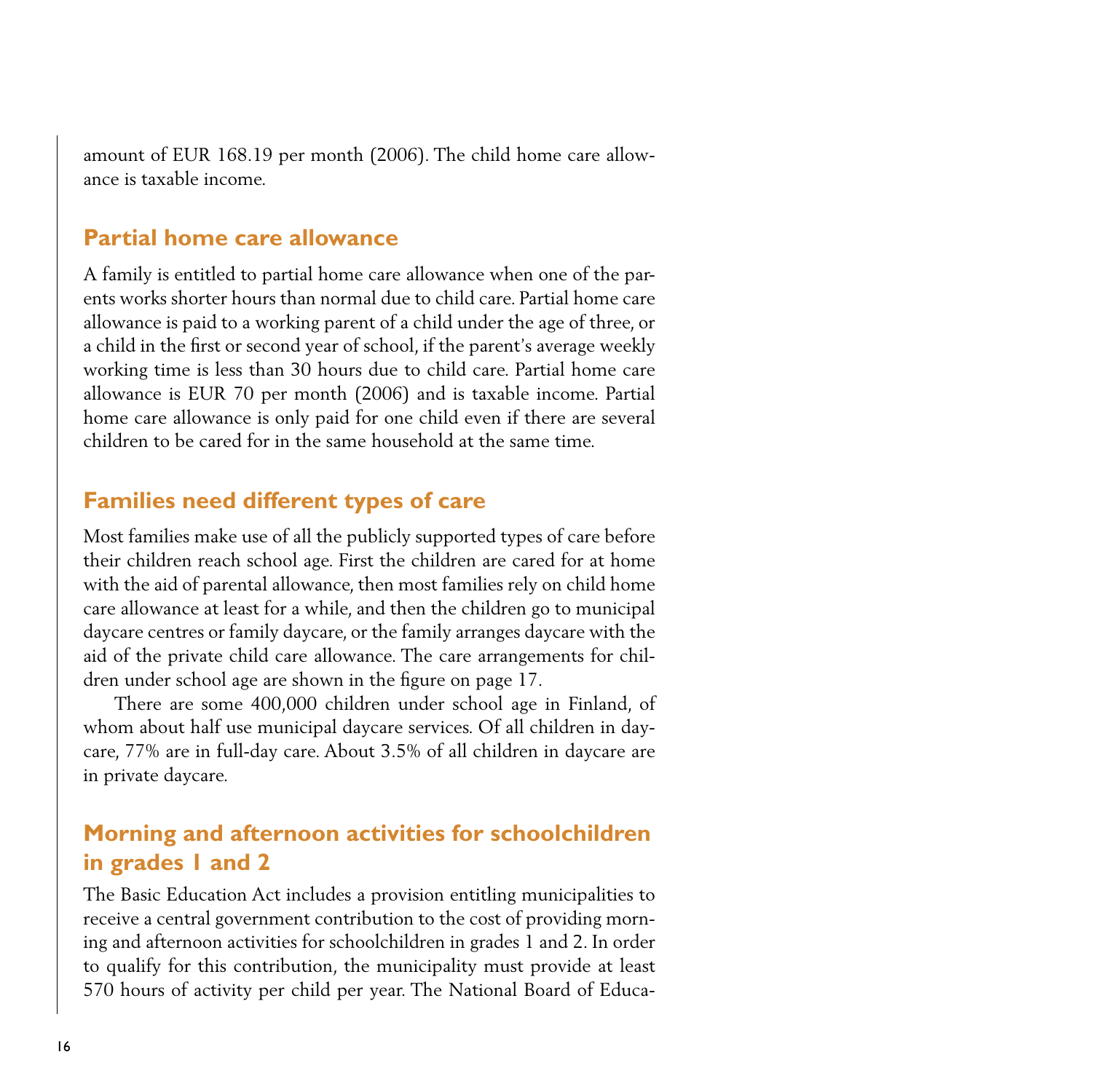<span id="page-17-0"></span>amount of EUR 168.19 per month (2006). The child home care allowance is taxable income.

#### **Partial home care allowance**

A family is entitled to partial home care allowance when one of the parents works shorter hours than normal due to child care. Partial home care allowance is paid to a working parent of a child under the age of three, or a child in the first or second year of school, if the parent's average weekly working time is less than 30 hours due to child care. Partial home care allowance is EUR 70 per month (2006) and is taxable income. Partial home care allowance is only paid for one child even if there are several children to be cared for in the same household at the same time.

#### **Families need different types of care**

Most families make use of all the publicly supported types of care before their children reach school age. First the children are cared for at home with the aid of parental allowance, then most families rely on child home care allowance at least for a while, and then the children go to municipal daycare centres or family daycare, or the family arranges daycare with the aid of the private child care allowance. The care arrangements for children under school age are shown in the figure on page 17.

There are some 400,000 children under school age in Finland, of whom about half use municipal daycare services. Of all children in daycare, 77% are in full-day care. About 3.5% of all children in daycare are in private daycare.

#### **Morning and afternoon activities for schoolchildren in grades 1 and 2**

The Basic Education Act includes a provision entitling municipalities to receive a central government contribution to the cost of providing morning and afternoon activities for schoolchildren in grades 1 and 2. In order to qualify for this contribution, the municipality must provide at least 570 hours of activity per child per year. The National Board of Educa-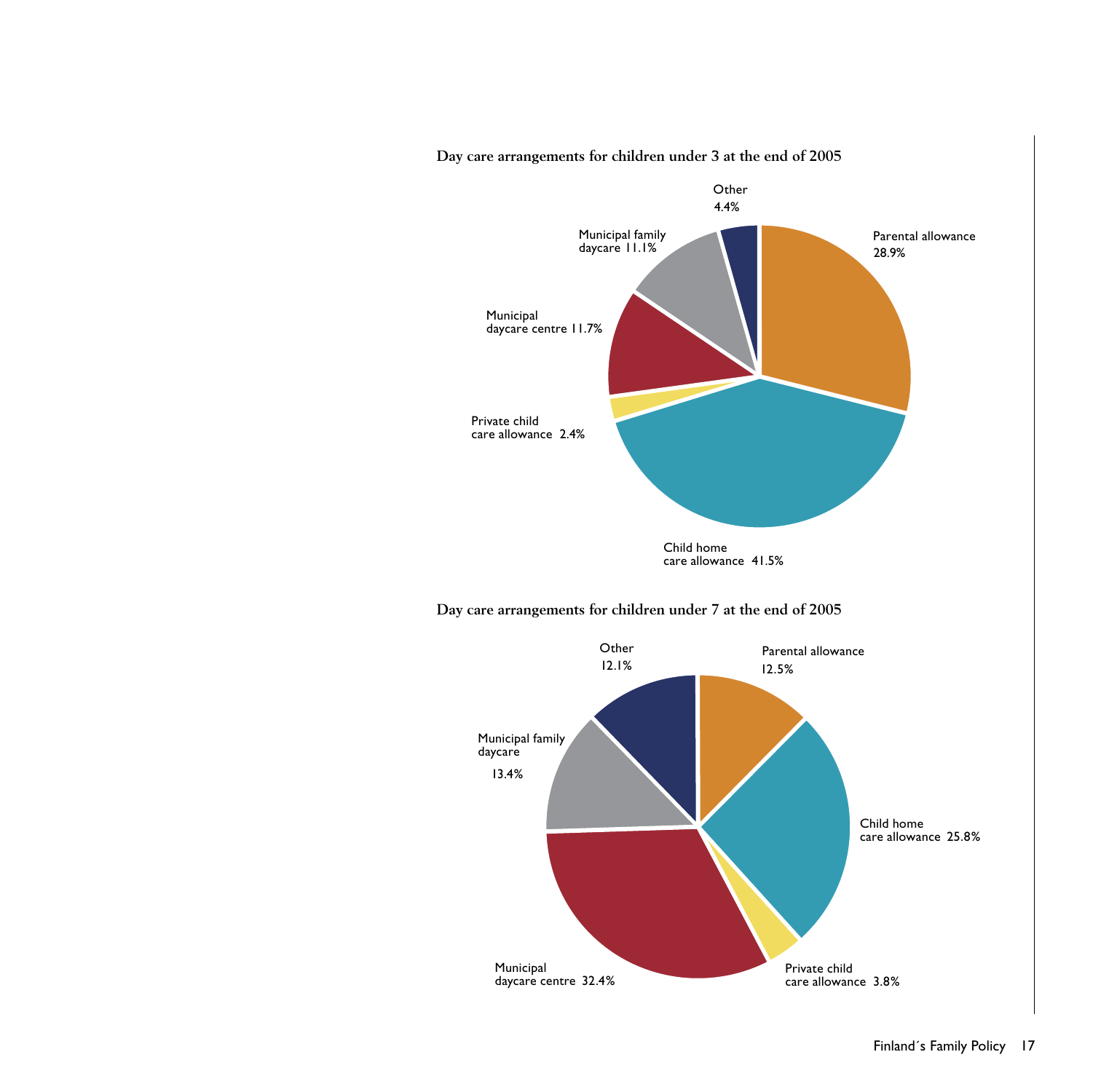

#### **Day care arrangements for children under 3 at the end of 2005**

**Day care arrangements for children under 7 at the end of 2005**

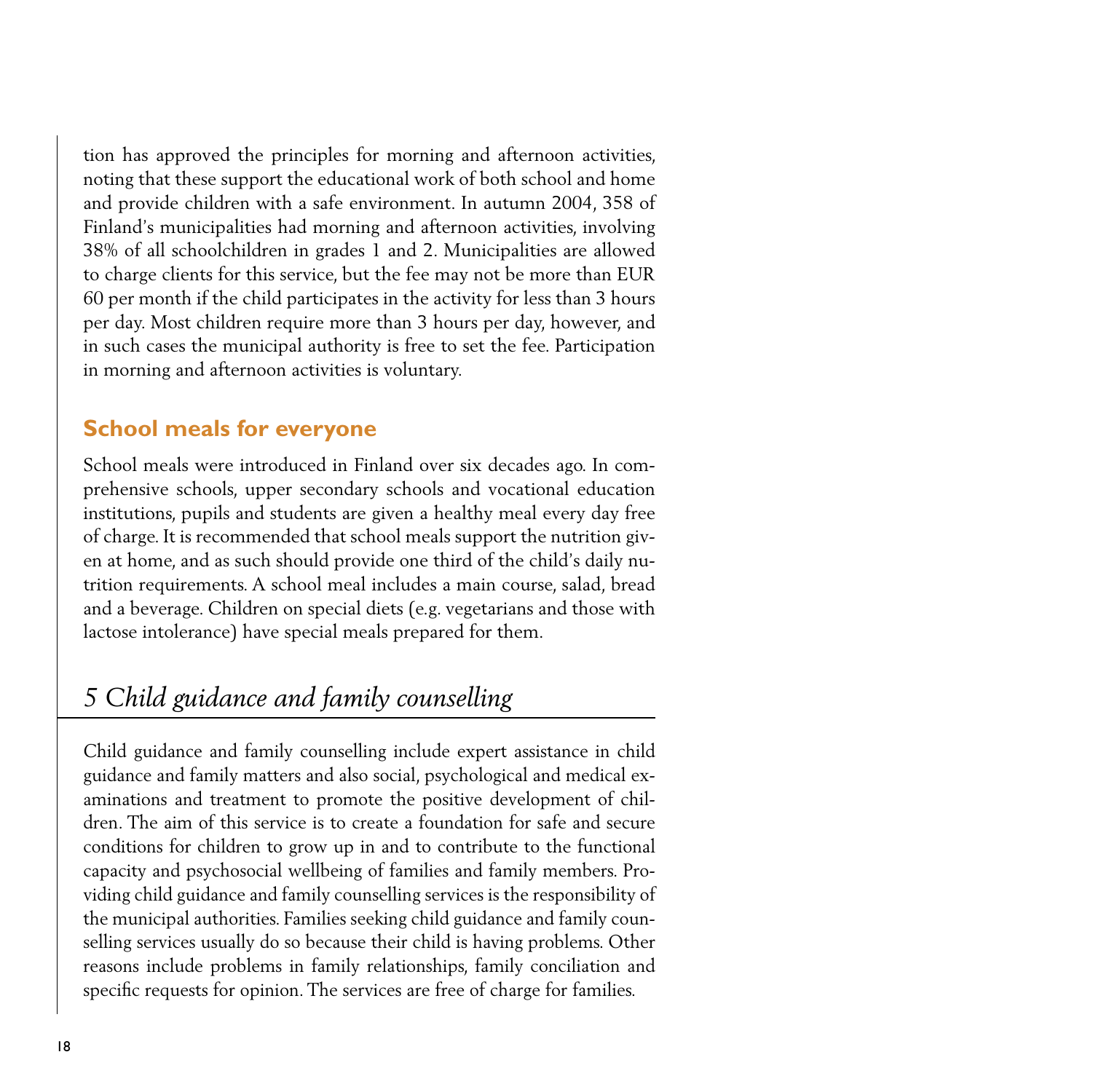<span id="page-19-0"></span>tion has approved the principles for morning and afternoon activities, noting that these support the educational work of both school and home and provide children with a safe environment. In autumn 2004, 358 of Finland's municipalities had morning and afternoon activities, involving 38% of all schoolchildren in grades 1 and 2. Municipalities are allowed to charge clients for this service, but the fee may not be more than EUR 60 per month if the child participates in the activity for less than 3 hours per day. Most children require more than 3 hours per day, however, and in such cases the municipal authority is free to set the fee. Participation in morning and afternoon activities is voluntary.

#### **School meals for everyone**

School meals were introduced in Finland over six decades ago. In comprehensive schools, upper secondary schools and vocational education institutions, pupils and students are given a healthy meal every day free of charge. It is recommended that school meals support the nutrition given at home, and as such should provide one third of the child's daily nutrition requirements. A school meal includes a main course, salad, bread and a beverage. Children on special diets (e.g. vegetarians and those with lactose intolerance) have special meals prepared for them.

## *5 Child guidance and family counselling*

Child guidance and family counselling include expert assistance in child guidance and family matters and also social, psychological and medical examinations and treatment to promote the positive development of children. The aim of this service is to create a foundation for safe and secure conditions for children to grow up in and to contribute to the functional capacity and psychosocial wellbeing of families and family members. Providing child guidance and family counselling services is the responsibility of the municipal authorities. Families seeking child guidance and family counselling services usually do so because their child is having problems. Other reasons include problems in family relationships, family conciliation and specific requests for opinion. The services are free of charge for families.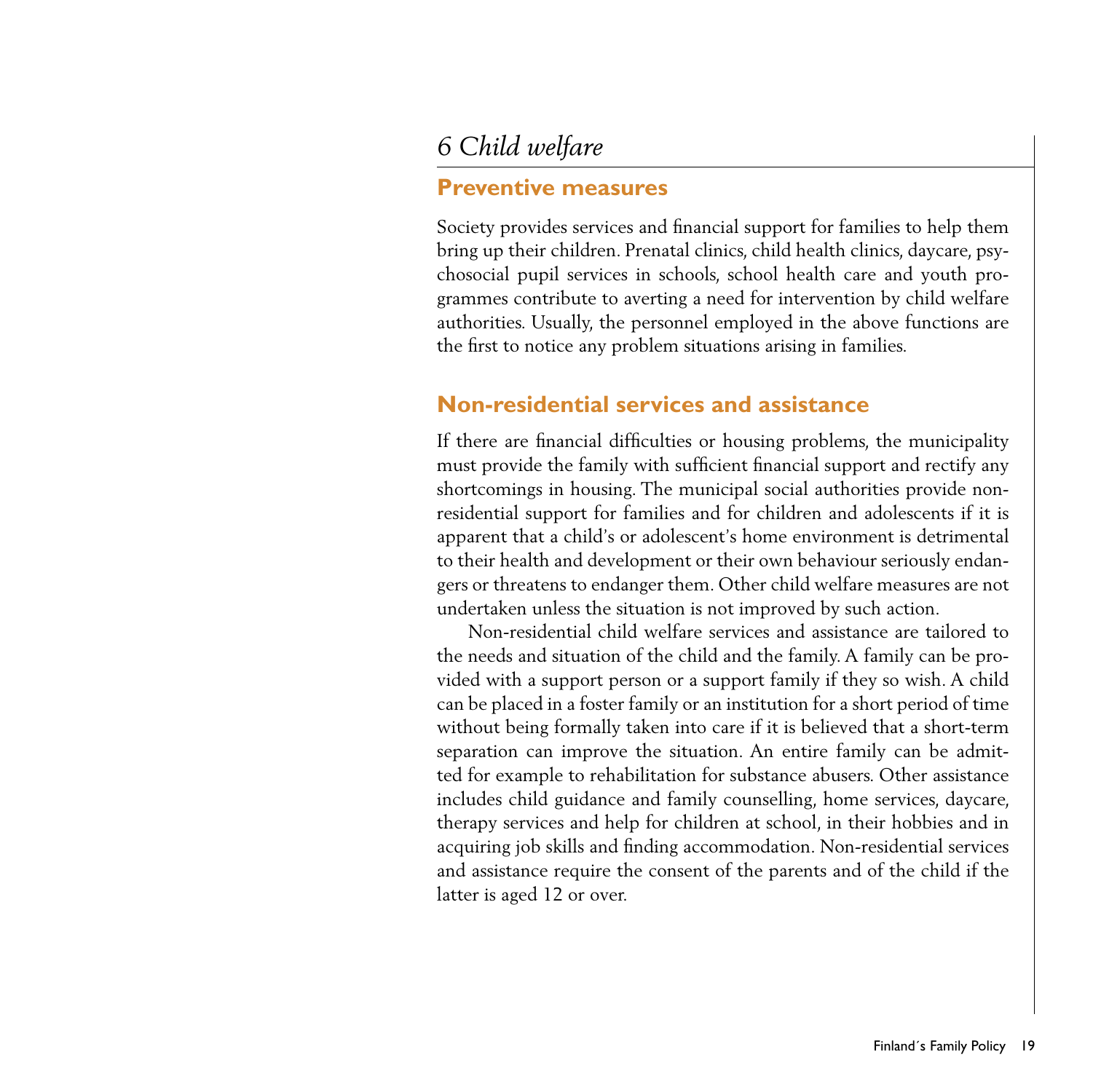## <span id="page-20-0"></span>*6 Child welfare*

#### **Preventive measures**

Society provides services and financial support for families to help them bring up their children. Prenatal clinics, child health clinics, daycare, psychosocial pupil services in schools, school health care and youth programmes contribute to averting a need for intervention by child welfare authorities. Usually, the personnel employed in the above functions are the first to notice any problem situations arising in families.

#### **Non-residential services and assistance**

If there are financial difficulties or housing problems, the municipality must provide the family with sufficient financial support and rectify any shortcomings in housing. The municipal social authorities provide nonresidential support for families and for children and adolescents if it is apparent that a child's or adolescent's home environment is detrimental to their health and development or their own behaviour seriously endangers or threatens to endanger them. Other child welfare measures are not undertaken unless the situation is not improved by such action.

Non-residential child welfare services and assistance are tailored to the needs and situation of the child and the family. A family can be provided with a support person or a support family if they so wish. A child can be placed in a foster family or an institution for a short period of time without being formally taken into care if it is believed that a short-term separation can improve the situation. An entire family can be admitted for example to rehabilitation for substance abusers. Other assistance includes child guidance and family counselling, home services, daycare, therapy services and help for children at school, in their hobbies and in acquiring job skills and finding accommodation. Non-residential services and assistance require the consent of the parents and of the child if the latter is aged 12 or over.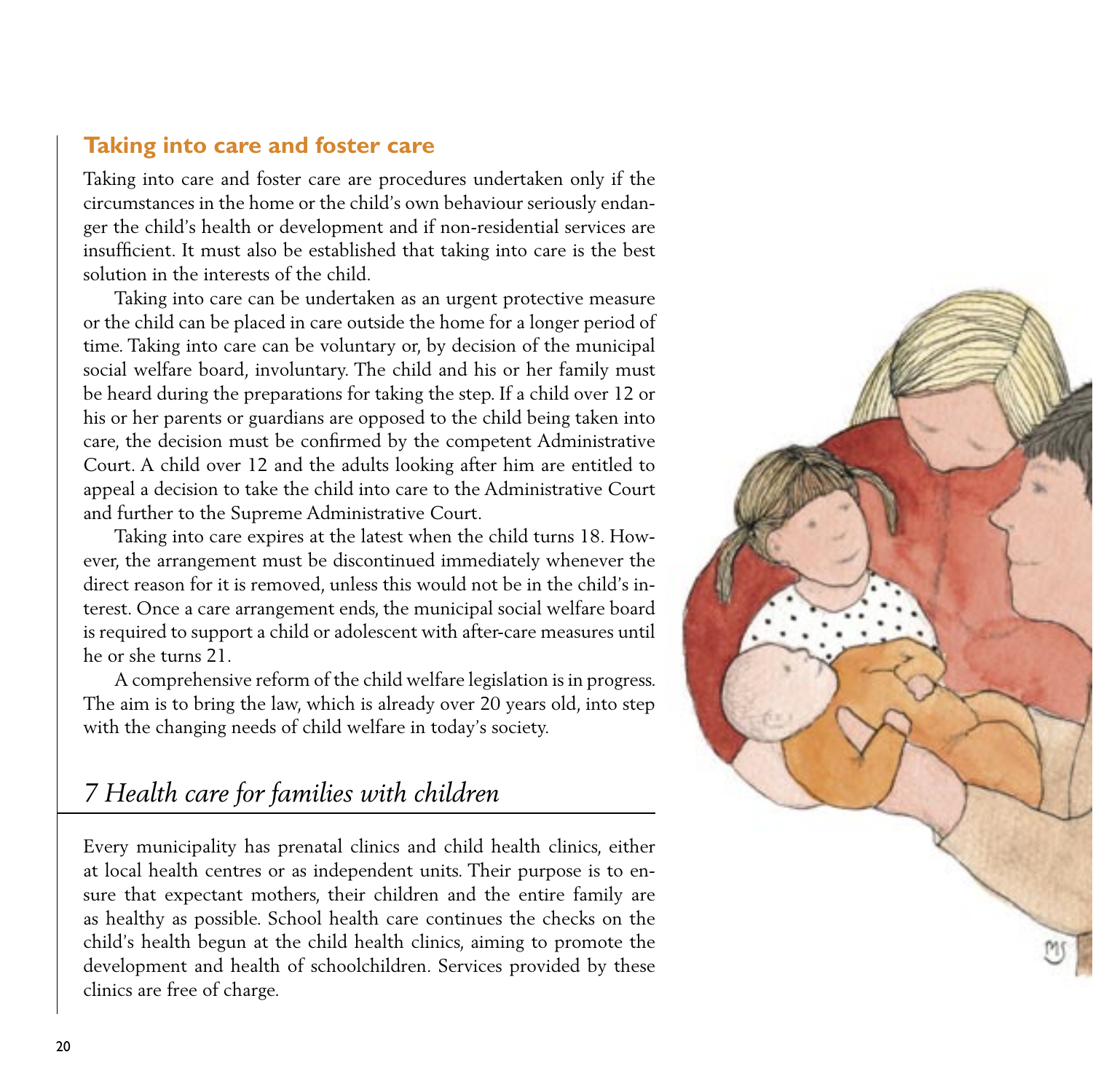### <span id="page-21-0"></span>**Taking into care and foster care**

Taking into care and foster care are procedures undertaken only if the circumstances in the home or the child's own behaviour seriously endanger the child's health or development and if non-residential services are insufficient. It must also be established that taking into care is the best solution in the interests of the child.

Taking into care can be undertaken as an urgent protective measure or the child can be placed in care outside the home for a longer period of time. Taking into care can be voluntary or, by decision of the municipal social welfare board, involuntary. The child and his or her family must be heard during the preparations for taking the step. If a child over 12 or his or her parents or guardians are opposed to the child being taken into care, the decision must be confirmed by the competent Administrative Court. A child over 12 and the adults looking after him are entitled to appeal a decision to take the child into care to the Administrative Court and further to the Supreme Administrative Court.

Taking into care expires at the latest when the child turns 18. However, the arrangement must be discontinued immediately whenever the direct reason for it is removed, unless this would not be in the child's interest. Once a care arrangement ends, the municipal social welfare board is required to support a child or adolescent with after-care measures until he or she turns 21.

A comprehensive reform of the child welfare legislation is in progress. The aim is to bring the law, which is already over 20 years old, into step with the changing needs of child welfare in today's society.

## *7 Health care for families with children*

Every municipality has prenatal clinics and child health clinics, either at local health centres or as independent units. Their purpose is to ensure that expectant mothers, their children and the entire family are as healthy as possible. School health care continues the checks on the child's health begun at the child health clinics, aiming to promote the development and health of schoolchildren. Services provided by these clinics are free of charge.

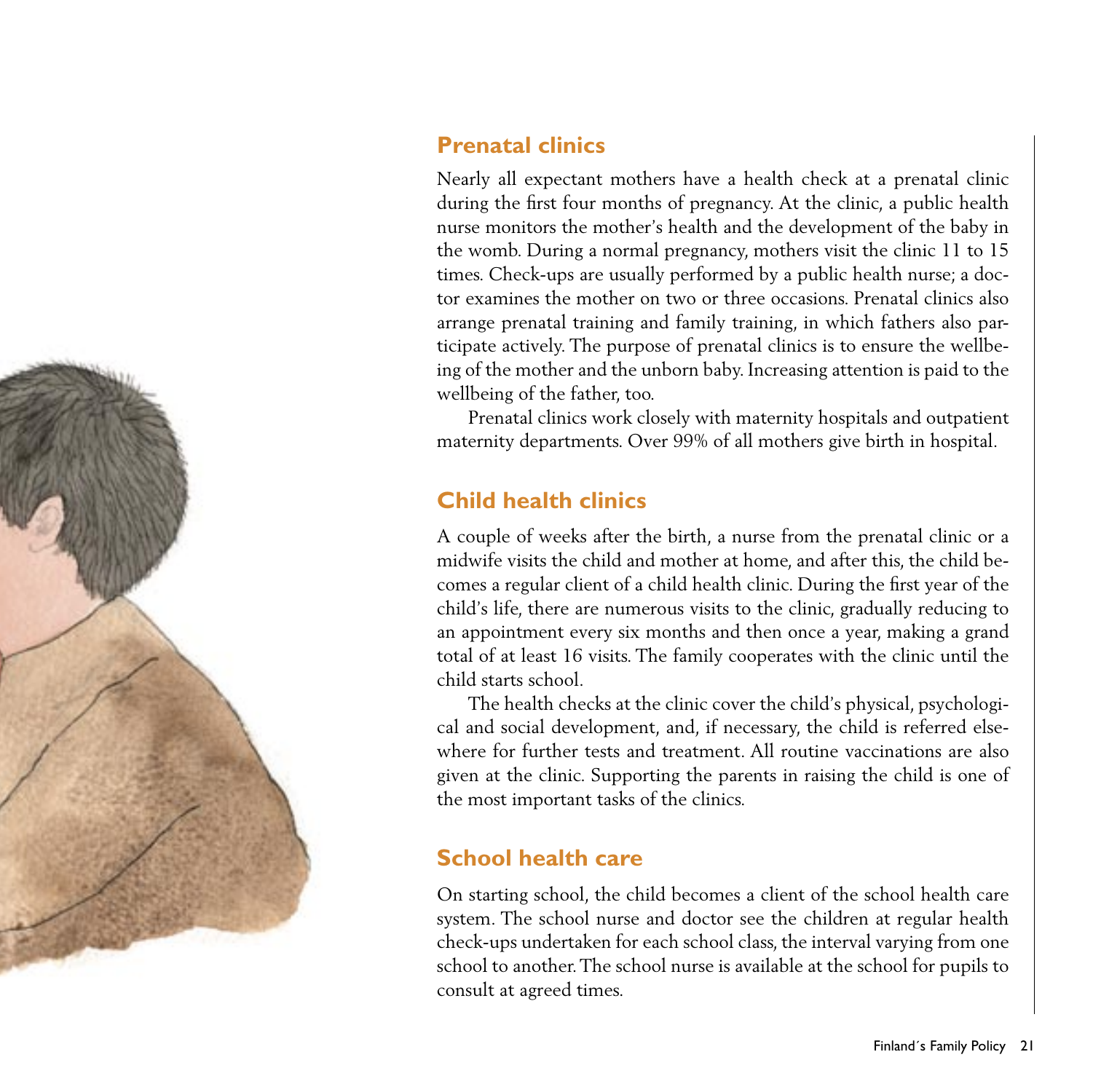<span id="page-22-0"></span>

### **Prenatal clinics**

Nearly all expectant mothers have a health check at a prenatal clinic during the first four months of pregnancy. At the clinic, a public health nurse monitors the mother's health and the development of the baby in the womb. During a normal pregnancy, mothers visit the clinic 11 to 15 times. Check-ups are usually performed by a public health nurse; a doctor examines the mother on two or three occasions. Prenatal clinics also arrange prenatal training and family training, in which fathers also participate actively. The purpose of prenatal clinics is to ensure the wellbeing of the mother and the unborn baby. Increasing attention is paid to the wellbeing of the father, too.

Prenatal clinics work closely with maternity hospitals and outpatient maternity departments. Over 99% of all mothers give birth in hospital.

## **Child health clinics**

A couple of weeks after the birth, a nurse from the prenatal clinic or a midwife visits the child and mother at home, and after this, the child becomes a regular client of a child health clinic. During the first year of the child's life, there are numerous visits to the clinic, gradually reducing to an appointment every six months and then once a year, making a grand total of at least 16 visits. The family cooperates with the clinic until the child starts school.

The health checks at the clinic cover the child's physical, psychological and social development, and, if necessary, the child is referred elsewhere for further tests and treatment. All routine vaccinations are also given at the clinic. Supporting the parents in raising the child is one of the most important tasks of the clinics.

## **School health care**

On starting school, the child becomes a client of the school health care system. The school nurse and doctor see the children at regular health check-ups undertaken for each school class, the interval varying from one school to another. The school nurse is available at the school for pupils to consult at agreed times.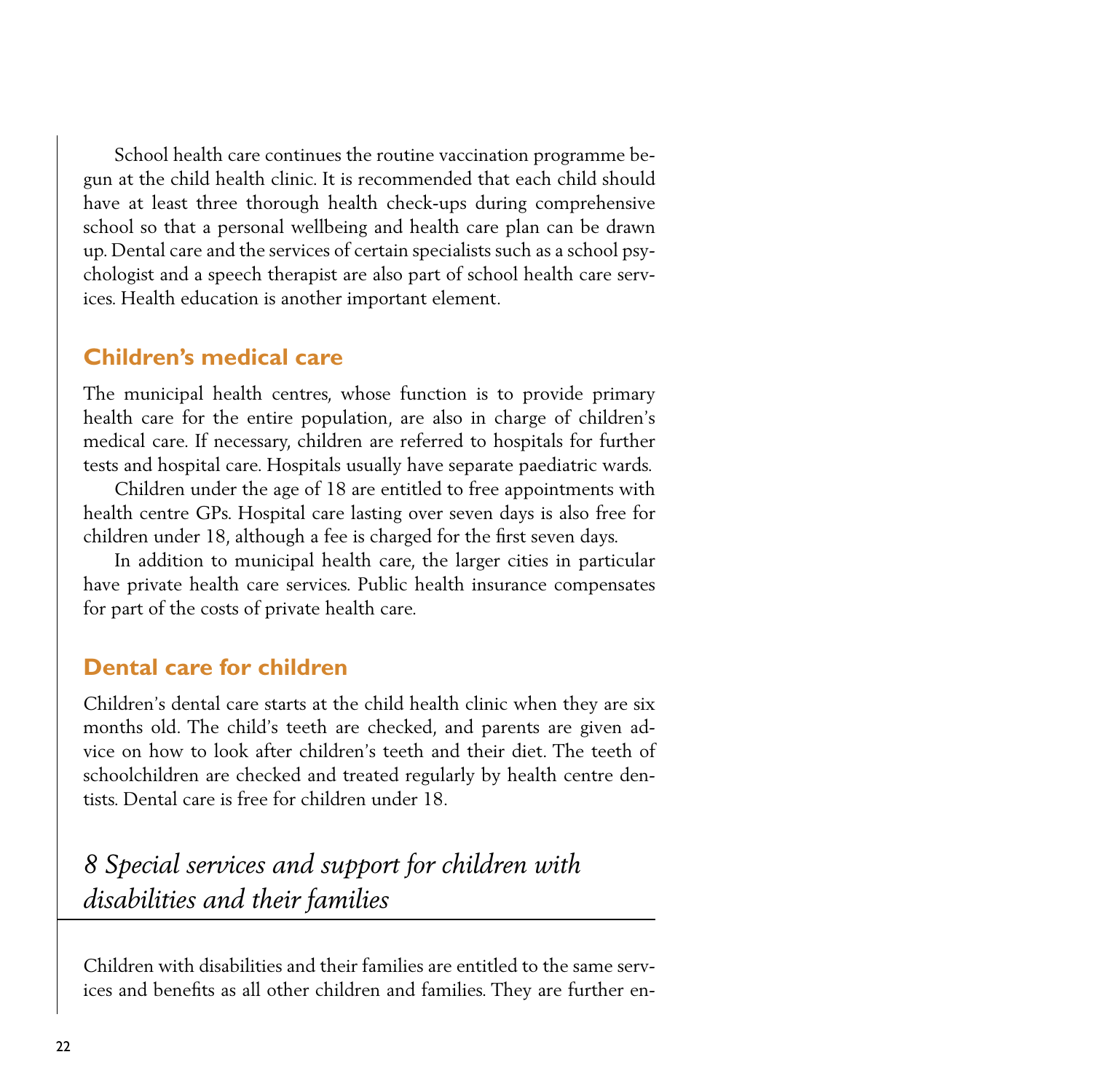<span id="page-23-0"></span>School health care continues the routine vaccination programme begun at the child health clinic. It is recommended that each child should have at least three thorough health check-ups during comprehensive school so that a personal wellbeing and health care plan can be drawn up. Dental care and the services of certain specialists such as a school psychologist and a speech therapist are also part of school health care services. Health education is another important element.

### **Children's medical care**

The municipal health centres, whose function is to provide primary health care for the entire population, are also in charge of children's medical care. If necessary, children are referred to hospitals for further tests and hospital care. Hospitals usually have separate paediatric wards.

Children under the age of 18 are entitled to free appointments with health centre GPs. Hospital care lasting over seven days is also free for children under 18, although a fee is charged for the first seven days.

In addition to municipal health care, the larger cities in particular have private health care services. Public health insurance compensates for part of the costs of private health care.

### **Dental care for children**

Children's dental care starts at the child health clinic when they are six months old. The child's teeth are checked, and parents are given advice on how to look after children's teeth and their diet. The teeth of schoolchildren are checked and treated regularly by health centre dentists. Dental care is free for children under 18.

# *8 Special services and support for children with disabilities and their families*

Children with disabilities and their families are entitled to the same services and benefits as all other children and families. They are further en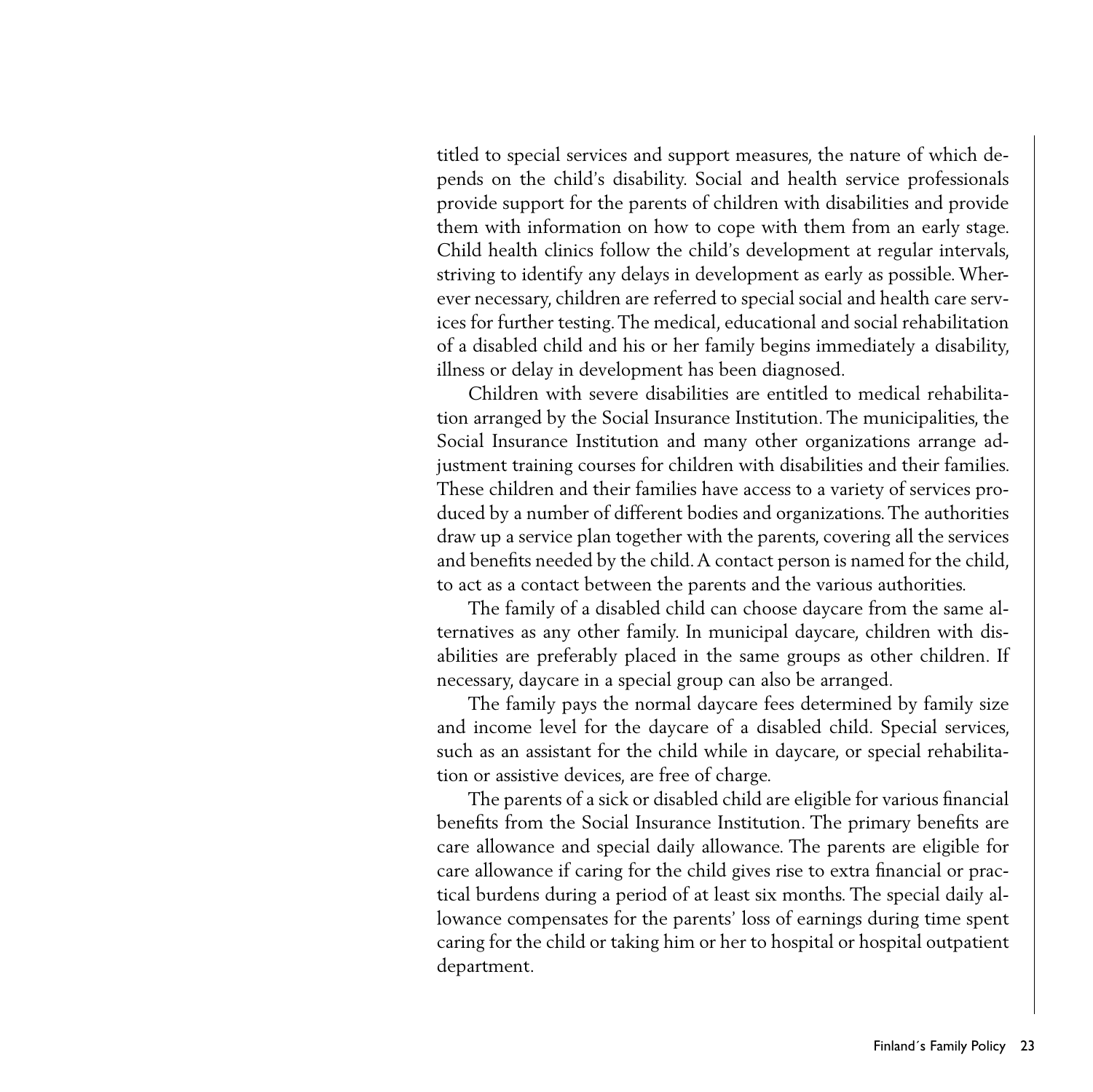titled to special services and support measures, the nature of which depends on the child's disability. Social and health service professionals provide support for the parents of children with disabilities and provide them with information on how to cope with them from an early stage. Child health clinics follow the child's development at regular intervals, striving to identify any delays in development as early as possible. Wherever necessary, children are referred to special social and health care services for further testing. The medical, educational and social rehabilitation of a disabled child and his or her family begins immediately a disability, illness or delay in development has been diagnosed.

Children with severe disabilities are entitled to medical rehabilitation arranged by the Social Insurance Institution. The municipalities, the Social Insurance Institution and many other organizations arrange adjustment training courses for children with disabilities and their families. These children and their families have access to a variety of services produced by a number of different bodies and organizations. The authorities draw up a service plan together with the parents, covering all the services and benefits needed by the child. A contact person is named for the child, to act as a contact between the parents and the various authorities.

The family of a disabled child can choose daycare from the same alternatives as any other family. In municipal daycare, children with disabilities are preferably placed in the same groups as other children. If necessary, daycare in a special group can also be arranged.

The family pays the normal daycare fees determined by family size and income level for the daycare of a disabled child. Special services, such as an assistant for the child while in daycare, or special rehabilitation or assistive devices, are free of charge.

The parents of a sick or disabled child are eligible for various financial benefits from the Social Insurance Institution. The primary benefits are care allowance and special daily allowance. The parents are eligible for care allowance if caring for the child gives rise to extra financial or practical burdens during a period of at least six months. The special daily allowance compensates for the parents' loss of earnings during time spent caring for the child or taking him or her to hospital or hospital outpatient department.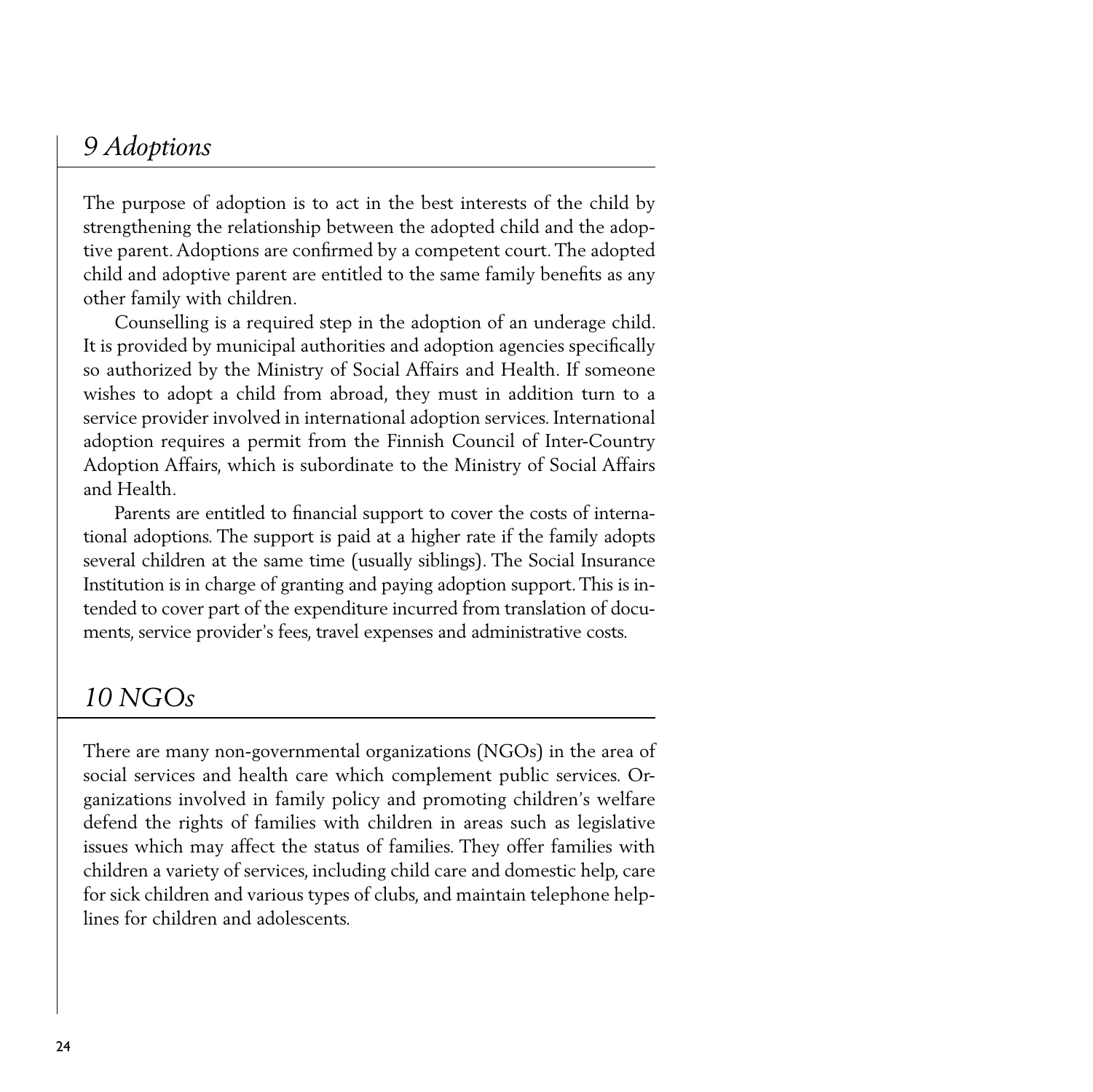## <span id="page-25-0"></span>*9 Adoptions*

The purpose of adoption is to act in the best interests of the child by strengthening the relationship between the adopted child and the adoptive parent. Adoptions are confirmed by a competent court. The adopted child and adoptive parent are entitled to the same family benefits as any other family with children.

Counselling is a required step in the adoption of an underage child. It is provided by municipal authorities and adoption agencies specifically so authorized by the Ministry of Social Affairs and Health. If someone wishes to adopt a child from abroad, they must in addition turn to a service provider involved in international adoption services. International adoption requires a permit from the Finnish Council of Inter-Country Adoption Affairs, which is subordinate to the Ministry of Social Affairs and Health.

Parents are entitled to financial support to cover the costs of international adoptions. The support is paid at a higher rate if the family adopts several children at the same time (usually siblings). The Social Insurance Institution is in charge of granting and paying adoption support. This is intended to cover part of the expenditure incurred from translation of documents, service provider's fees, travel expenses and administrative costs.

## *10 NGOs*

There are many non-governmental organizations (NGOs) in the area of social services and health care which complement public services. Organizations involved in family policy and promoting children's welfare defend the rights of families with children in areas such as legislative issues which may affect the status of families. They offer families with children a variety of services, including child care and domestic help, care for sick children and various types of clubs, and maintain telephone helplines for children and adolescents.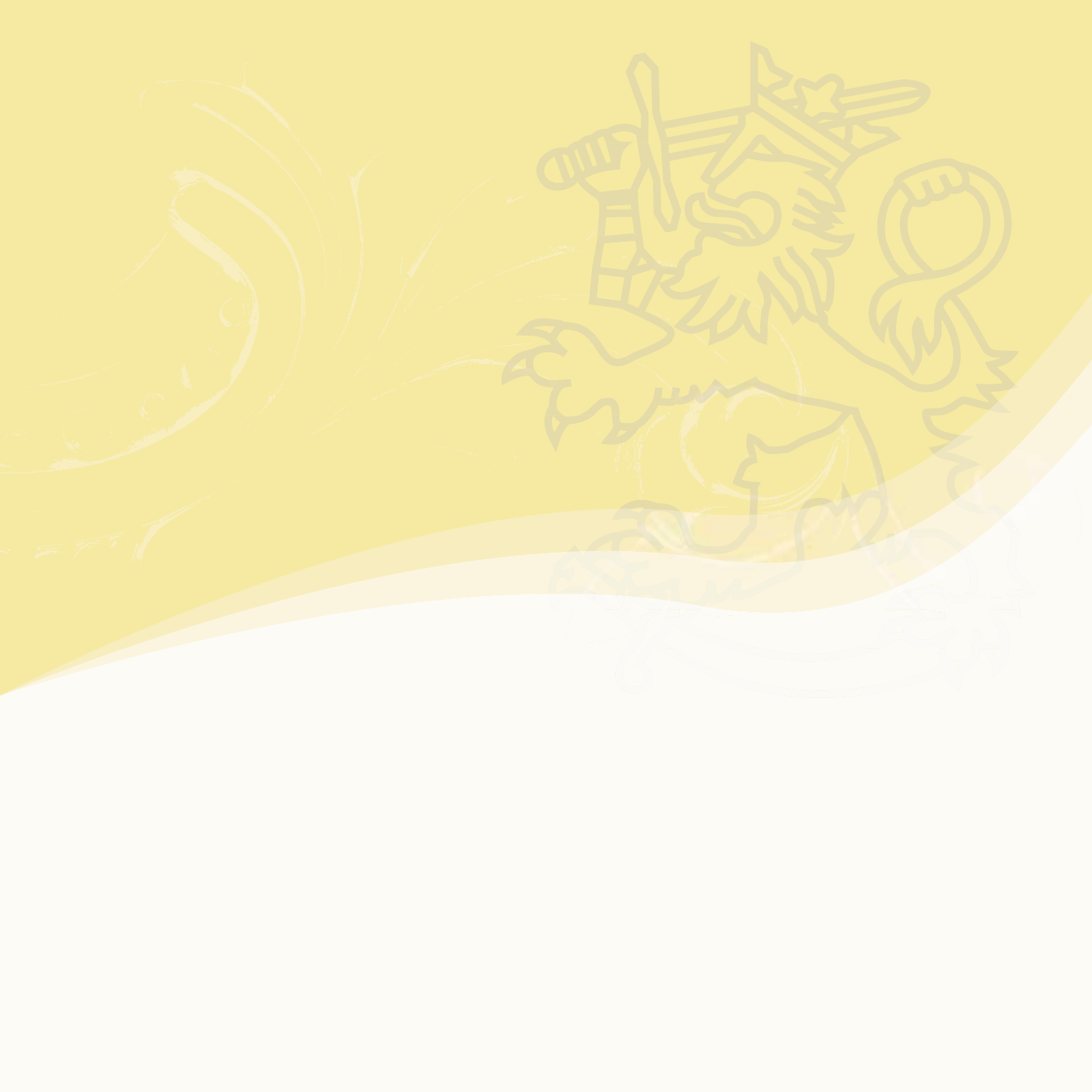